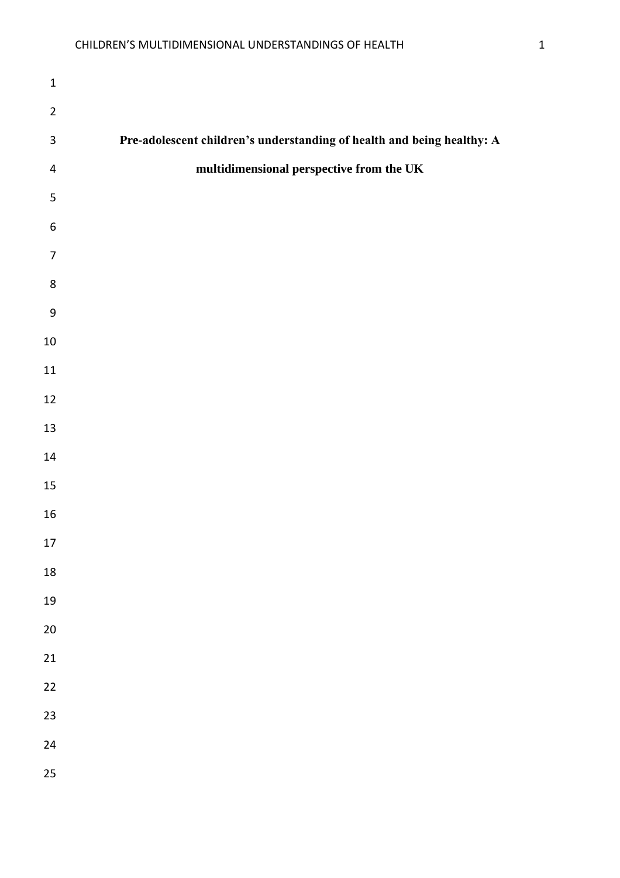| $\mathbf 1$             |                                                                        |
|-------------------------|------------------------------------------------------------------------|
| $\overline{2}$          |                                                                        |
| $\mathsf 3$             | Pre-adolescent children's understanding of health and being healthy: A |
| $\overline{\mathbf{r}}$ | multidimensional perspective from the UK                               |
| 5                       |                                                                        |
| $\boldsymbol{6}$        |                                                                        |
| $\overline{7}$          |                                                                        |
| 8                       |                                                                        |
| $\boldsymbol{9}$        |                                                                        |
| $10\,$                  |                                                                        |
| $11\,$                  |                                                                        |
| 12                      |                                                                        |
| $13\,$                  |                                                                        |
| $14\,$                  |                                                                        |
| 15                      |                                                                        |
| $16\,$                  |                                                                        |
| 17                      |                                                                        |
| $18\,$                  |                                                                        |
| 19                      |                                                                        |
| 20                      |                                                                        |
| 21                      |                                                                        |
| 22                      |                                                                        |
| 23                      |                                                                        |
| 24                      |                                                                        |
| 25                      |                                                                        |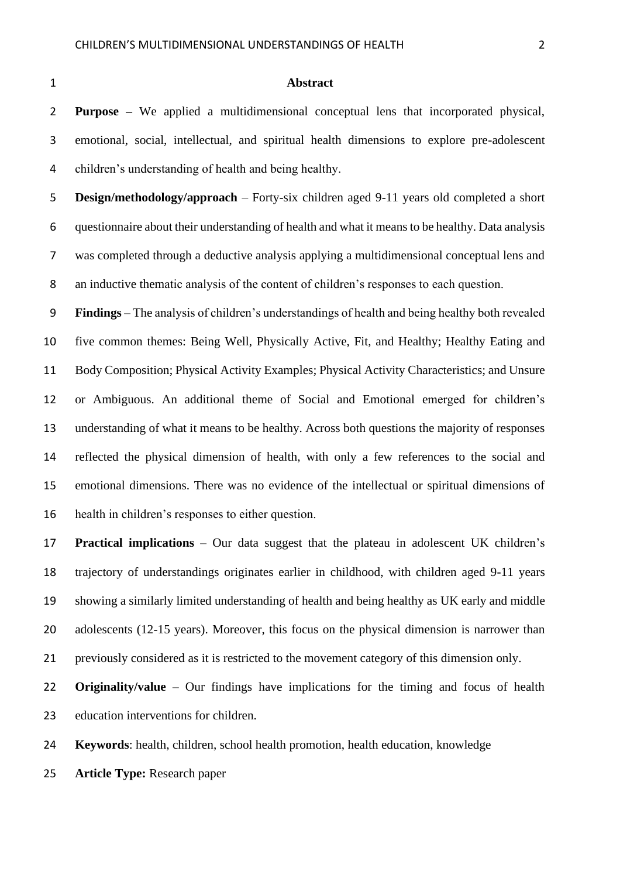#### **Abstract**

 **Purpose –** We applied a multidimensional conceptual lens that incorporated physical, emotional, social, intellectual, and spiritual health dimensions to explore pre-adolescent children's understanding of health and being healthy.

 **Design/methodology/approach** – Forty-six children aged 9-11 years old completed a short questionnaire about their understanding of health and what it means to be healthy. Data analysis was completed through a deductive analysis applying a multidimensional conceptual lens and an inductive thematic analysis of the content of children's responses to each question.

 **Findings** – The analysis of children's understandings of health and being healthy both revealed five common themes: Being Well, Physically Active, Fit, and Healthy; Healthy Eating and Body Composition; Physical Activity Examples; Physical Activity Characteristics; and Unsure or Ambiguous. An additional theme of Social and Emotional emerged for children's understanding of what it means to be healthy. Across both questions the majority of responses reflected the physical dimension of health, with only a few references to the social and emotional dimensions. There was no evidence of the intellectual or spiritual dimensions of health in children's responses to either question.

 **Practical implications** – Our data suggest that the plateau in adolescent UK children's trajectory of understandings originates earlier in childhood, with children aged 9-11 years showing a similarly limited understanding of health and being healthy as UK early and middle 20 adolescents (12-15 years). Moreover, this focus on the physical dimension is narrower than previously considered as it is restricted to the movement category of this dimension only.

 **Originality/value** – Our findings have implications for the timing and focus of health education interventions for children.

**Keywords**: health, children, school health promotion, health education, knowledge

**Article Type:** Research paper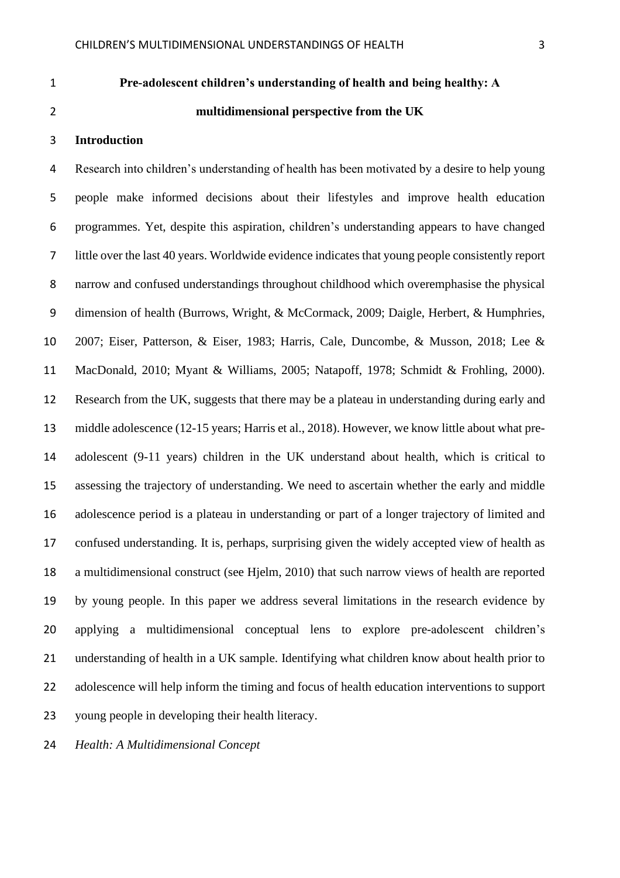## **Pre-adolescent children's understanding of health and being healthy: A**

# **multidimensional perspective from the UK**

#### **Introduction**

 Research into children's understanding of health has been motivated by a desire to help young people make informed decisions about their lifestyles and improve health education programmes. Yet, despite this aspiration, children's understanding appears to have changed little over the last 40 years. Worldwide evidence indicates that young people consistently report narrow and confused understandings throughout childhood which overemphasise the physical dimension of health (Burrows, Wright, & McCormack, 2009; Daigle, Herbert, & Humphries, 2007; Eiser, Patterson, & Eiser, 1983; Harris, Cale, Duncombe, & Musson, 2018; Lee & MacDonald, 2010; Myant & Williams, 2005; Natapoff, 1978; Schmidt & Frohling, 2000). Research from the UK, suggests that there may be a plateau in understanding during early and middle adolescence (12-15 years; Harris et al., 2018). However, we know little about what pre- adolescent (9-11 years) children in the UK understand about health, which is critical to assessing the trajectory of understanding. We need to ascertain whether the early and middle adolescence period is a plateau in understanding or part of a longer trajectory of limited and confused understanding. It is, perhaps, surprising given the widely accepted view of health as a multidimensional construct (see Hjelm, 2010) that such narrow views of health are reported by young people. In this paper we address several limitations in the research evidence by applying a multidimensional conceptual lens to explore pre-adolescent children's understanding of health in a UK sample. Identifying what children know about health prior to adolescence will help inform the timing and focus of health education interventions to support young people in developing their health literacy.

*Health: A Multidimensional Concept*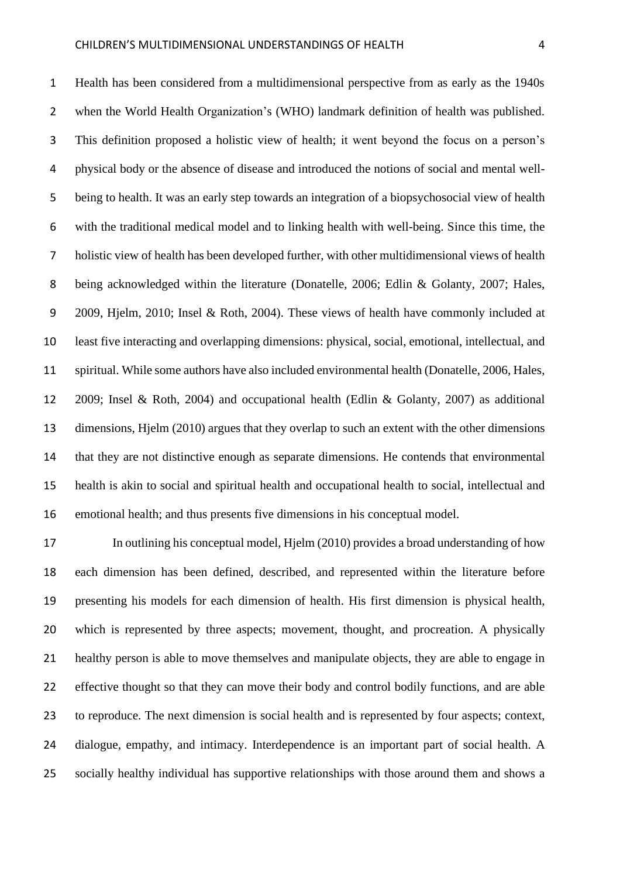Health has been considered from a multidimensional perspective from as early as the 1940s when the World Health Organization's (WHO) landmark definition of health was published. This definition proposed a holistic view of health; it went beyond the focus on a person's physical body or the absence of disease and introduced the notions of social and mental well- being to health. It was an early step towards an integration of a biopsychosocial view of health with the traditional medical model and to linking health with well-being. Since this time, the holistic view of health has been developed further, with other multidimensional views of health being acknowledged within the literature (Donatelle, 2006; Edlin & Golanty, 2007; Hales, 2009, Hjelm, 2010; Insel & Roth, 2004). These views of health have commonly included at least five interacting and overlapping dimensions: physical, social, emotional, intellectual, and spiritual. While some authors have also included environmental health (Donatelle, 2006, Hales, 2009; Insel & Roth, 2004) and occupational health (Edlin & Golanty, 2007) as additional dimensions, Hjelm (2010) argues that they overlap to such an extent with the other dimensions that they are not distinctive enough as separate dimensions. He contends that environmental health is akin to social and spiritual health and occupational health to social, intellectual and emotional health; and thus presents five dimensions in his conceptual model.

 In outlining his conceptual model, Hjelm (2010) provides a broad understanding of how each dimension has been defined, described, and represented within the literature before presenting his models for each dimension of health. His first dimension is physical health, which is represented by three aspects; movement, thought, and procreation. A physically healthy person is able to move themselves and manipulate objects, they are able to engage in effective thought so that they can move their body and control bodily functions, and are able to reproduce. The next dimension is social health and is represented by four aspects; context, dialogue, empathy, and intimacy. Interdependence is an important part of social health. A socially healthy individual has supportive relationships with those around them and shows a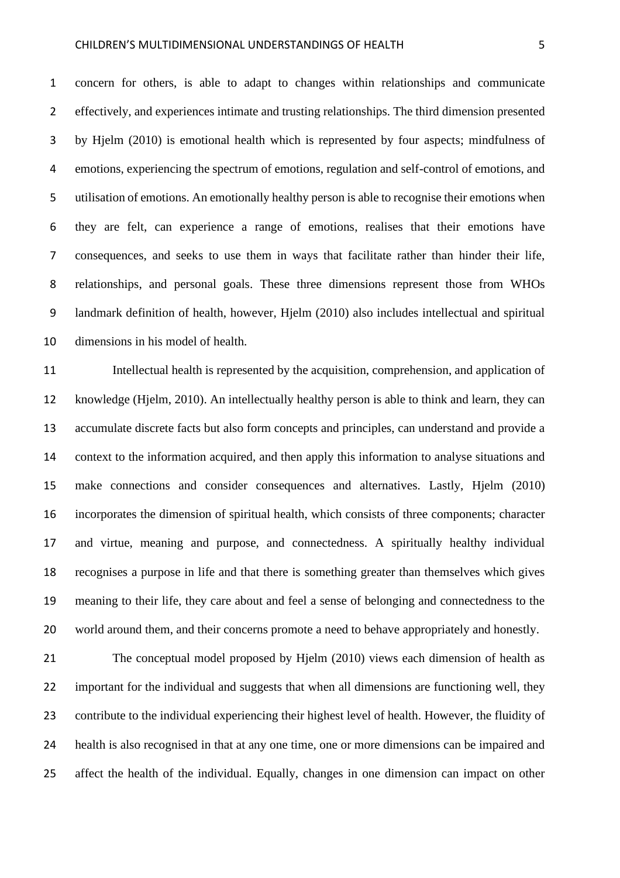#### CHILDREN'S MULTIDIMENSIONAL UNDERSTANDINGS OF HEALTH 5

 concern for others, is able to adapt to changes within relationships and communicate effectively, and experiences intimate and trusting relationships. The third dimension presented by Hjelm (2010) is emotional health which is represented by four aspects; mindfulness of emotions, experiencing the spectrum of emotions, regulation and self-control of emotions, and utilisation of emotions. An emotionally healthy person is able to recognise their emotions when they are felt, can experience a range of emotions, realises that their emotions have consequences, and seeks to use them in ways that facilitate rather than hinder their life, relationships, and personal goals. These three dimensions represent those from WHOs landmark definition of health, however, Hjelm (2010) also includes intellectual and spiritual dimensions in his model of health.

 Intellectual health is represented by the acquisition, comprehension, and application of knowledge (Hjelm, 2010). An intellectually healthy person is able to think and learn, they can accumulate discrete facts but also form concepts and principles, can understand and provide a context to the information acquired, and then apply this information to analyse situations and make connections and consider consequences and alternatives. Lastly, Hjelm (2010) incorporates the dimension of spiritual health, which consists of three components; character and virtue, meaning and purpose, and connectedness. A spiritually healthy individual recognises a purpose in life and that there is something greater than themselves which gives meaning to their life, they care about and feel a sense of belonging and connectedness to the world around them, and their concerns promote a need to behave appropriately and honestly.

 The conceptual model proposed by Hjelm (2010) views each dimension of health as important for the individual and suggests that when all dimensions are functioning well, they contribute to the individual experiencing their highest level of health. However, the fluidity of health is also recognised in that at any one time, one or more dimensions can be impaired and affect the health of the individual. Equally, changes in one dimension can impact on other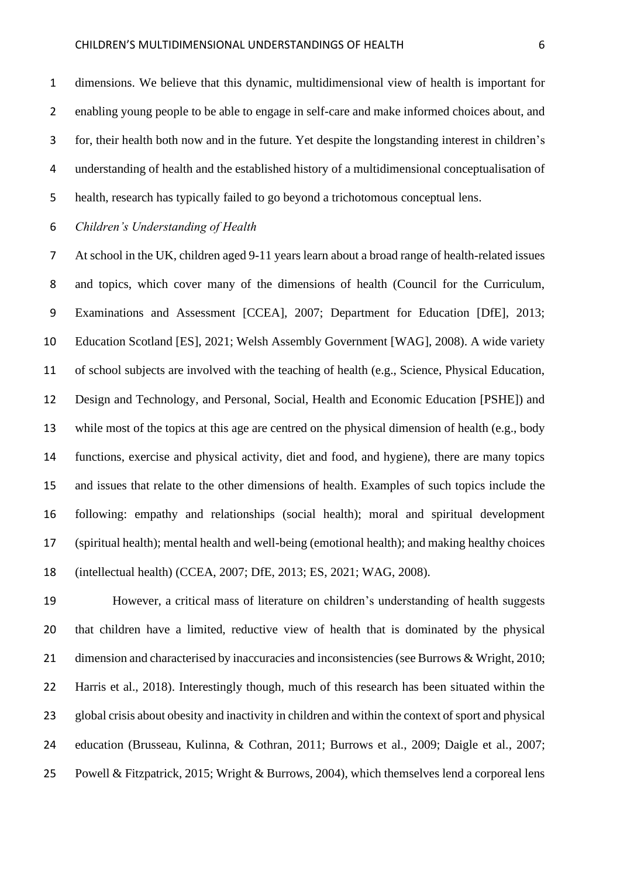dimensions. We believe that this dynamic, multidimensional view of health is important for enabling young people to be able to engage in self-care and make informed choices about, and for, their health both now and in the future. Yet despite the longstanding interest in children's understanding of health and the established history of a multidimensional conceptualisation of health, research has typically failed to go beyond a trichotomous conceptual lens.

## *Children's Understanding of Health*

 At school in the UK, children aged 9-11 years learn about a broad range of health-related issues and topics, which cover many of the dimensions of health (Council for the Curriculum, Examinations and Assessment [CCEA], 2007; Department for Education [DfE], 2013; Education Scotland [ES], 2021; Welsh Assembly Government [WAG], 2008). A wide variety of school subjects are involved with the teaching of health (e.g., Science, Physical Education, Design and Technology, and Personal, Social, Health and Economic Education [PSHE]) and while most of the topics at this age are centred on the physical dimension of health (e.g., body functions, exercise and physical activity, diet and food, and hygiene), there are many topics and issues that relate to the other dimensions of health. Examples of such topics include the following: empathy and relationships (social health); moral and spiritual development (spiritual health); mental health and well-being (emotional health); and making healthy choices (intellectual health) (CCEA, 2007; DfE, 2013; ES, 2021; WAG, 2008).

 However, a critical mass of literature on children's understanding of health suggests that children have a limited, reductive view of health that is dominated by the physical dimension and characterised by inaccuracies and inconsistencies (see Burrows & Wright, 2010; Harris et al., 2018). Interestingly though, much of this research has been situated within the global crisis about obesity and inactivity in children and within the context of sport and physical education (Brusseau, Kulinna, & Cothran, 2011; Burrows et al., 2009; Daigle et al., 2007; Powell & Fitzpatrick, 2015; Wright & Burrows, 2004), which themselves lend a corporeal lens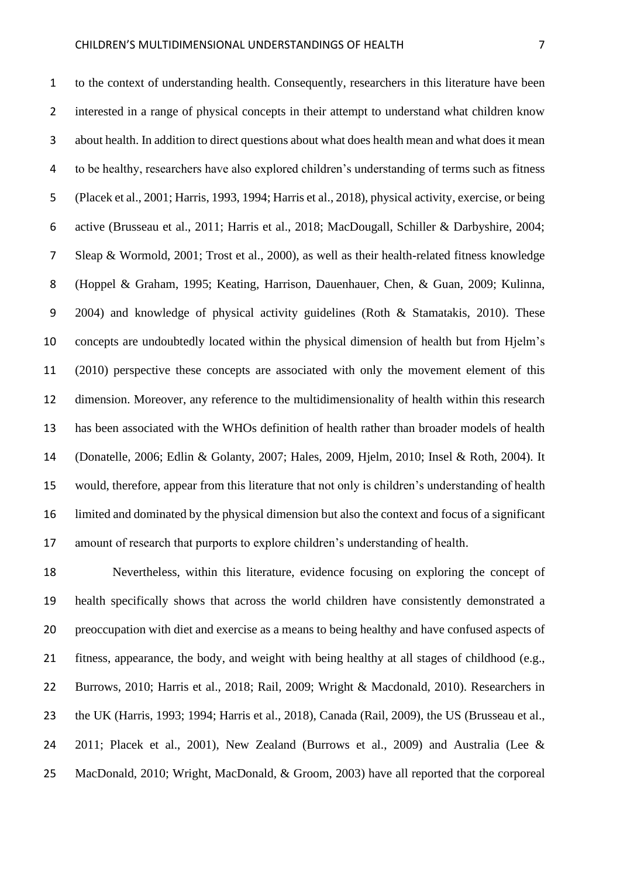to the context of understanding health. Consequently, researchers in this literature have been interested in a range of physical concepts in their attempt to understand what children know about health. In addition to direct questions about what does health mean and what does it mean to be healthy, researchers have also explored children's understanding of terms such as fitness (Placek et al., 2001; Harris, 1993, 1994; Harris et al., 2018), physical activity, exercise, or being active (Brusseau et al., 2011; Harris et al., 2018; MacDougall, Schiller & Darbyshire, 2004; Sleap & Wormold, 2001; Trost et al., 2000), as well as their health-related fitness knowledge (Hoppel & Graham, 1995; Keating, Harrison, Dauenhauer, Chen, & Guan, 2009; Kulinna, 2004) and knowledge of physical activity guidelines (Roth & Stamatakis, 2010). These concepts are undoubtedly located within the physical dimension of health but from Hjelm's (2010) perspective these concepts are associated with only the movement element of this dimension. Moreover, any reference to the multidimensionality of health within this research has been associated with the WHOs definition of health rather than broader models of health (Donatelle, 2006; Edlin & Golanty, 2007; Hales, 2009, Hjelm, 2010; Insel & Roth, 2004). It would, therefore, appear from this literature that not only is children's understanding of health limited and dominated by the physical dimension but also the context and focus of a significant

amount of research that purports to explore children's understanding of health.

 Nevertheless, within this literature, evidence focusing on exploring the concept of health specifically shows that across the world children have consistently demonstrated a preoccupation with diet and exercise as a means to being healthy and have confused aspects of fitness, appearance, the body, and weight with being healthy at all stages of childhood (e.g., Burrows, 2010; Harris et al., 2018; Rail, 2009; Wright & Macdonald, 2010). Researchers in the UK (Harris, 1993; 1994; Harris et al., 2018), Canada (Rail, 2009), the US (Brusseau et al., 2011; Placek et al., 2001), New Zealand (Burrows et al., 2009) and Australia (Lee & MacDonald, 2010; Wright, MacDonald, & Groom, 2003) have all reported that the corporeal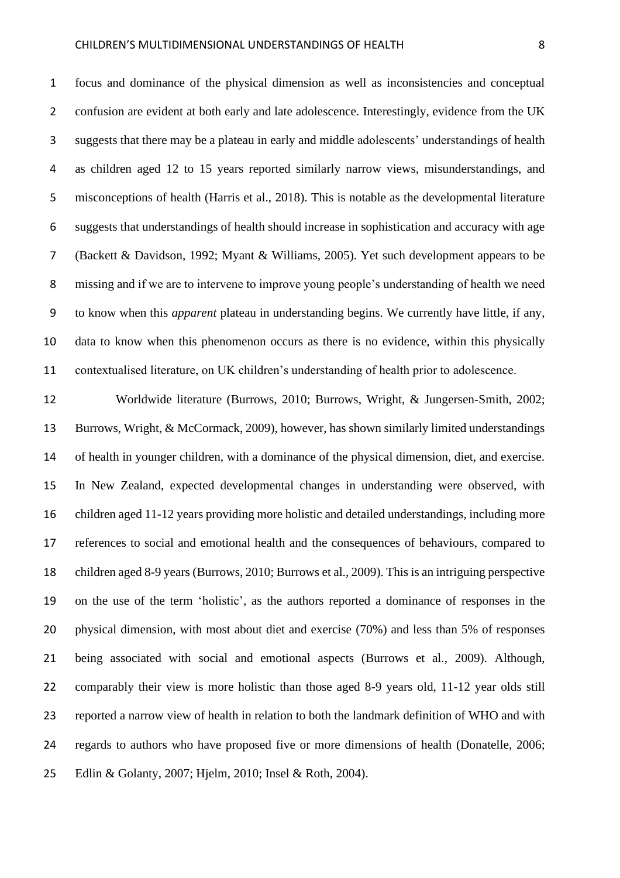focus and dominance of the physical dimension as well as inconsistencies and conceptual 2 confusion are evident at both early and late adolescence. Interestingly, evidence from the UK suggests that there may be a plateau in early and middle adolescents' understandings of health as children aged 12 to 15 years reported similarly narrow views, misunderstandings, and misconceptions of health (Harris et al., 2018). This is notable as the developmental literature suggests that understandings of health should increase in sophistication and accuracy with age (Backett & Davidson, 1992; Myant & Williams, 2005). Yet such development appears to be missing and if we are to intervene to improve young people's understanding of health we need to know when this *apparent* plateau in understanding begins. We currently have little, if any, data to know when this phenomenon occurs as there is no evidence, within this physically contextualised literature, on UK children's understanding of health prior to adolescence.

 Worldwide literature (Burrows, 2010; Burrows, Wright, & Jungersen-Smith, 2002; Burrows, Wright, & McCormack, 2009), however, has shown similarly limited understandings of health in younger children, with a dominance of the physical dimension, diet, and exercise. In New Zealand, expected developmental changes in understanding were observed, with children aged 11-12 years providing more holistic and detailed understandings, including more references to social and emotional health and the consequences of behaviours, compared to children aged 8-9 years (Burrows, 2010; Burrows et al., 2009). This is an intriguing perspective on the use of the term 'holistic', as the authors reported a dominance of responses in the physical dimension, with most about diet and exercise (70%) and less than 5% of responses being associated with social and emotional aspects (Burrows et al., 2009). Although, comparably their view is more holistic than those aged 8-9 years old, 11-12 year olds still reported a narrow view of health in relation to both the landmark definition of WHO and with regards to authors who have proposed five or more dimensions of health (Donatelle, 2006; Edlin & Golanty, 2007; Hjelm, 2010; Insel & Roth, 2004).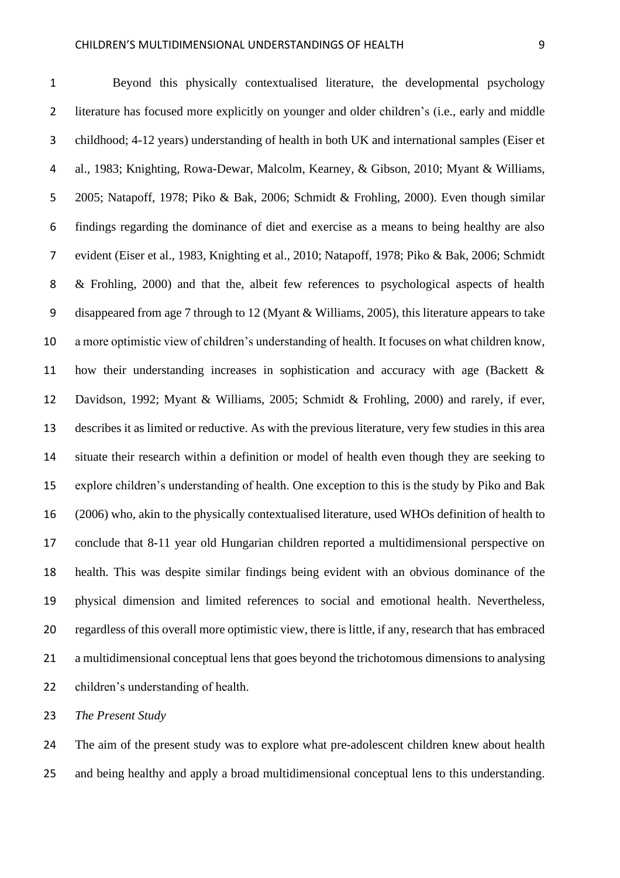Beyond this physically contextualised literature, the developmental psychology literature has focused more explicitly on younger and older children's (i.e., early and middle childhood; 4-12 years) understanding of health in both UK and international samples (Eiser et al., 1983; Knighting, Rowa-Dewar, Malcolm, Kearney, & Gibson, 2010; Myant & Williams, 2005; Natapoff, 1978; Piko & Bak, 2006; Schmidt & Frohling, 2000). Even though similar findings regarding the dominance of diet and exercise as a means to being healthy are also evident (Eiser et al., 1983, Knighting et al., 2010; Natapoff, 1978; Piko & Bak, 2006; Schmidt & Frohling, 2000) and that the, albeit few references to psychological aspects of health disappeared from age 7 through to 12 (Myant & Williams, 2005), this literature appears to take a more optimistic view of children's understanding of health. It focuses on what children know, how their understanding increases in sophistication and accuracy with age (Backett & Davidson, 1992; Myant & Williams, 2005; Schmidt & Frohling, 2000) and rarely, if ever, describes it as limited or reductive. As with the previous literature, very few studies in this area situate their research within a definition or model of health even though they are seeking to explore children's understanding of health. One exception to this is the study by Piko and Bak (2006) who, akin to the physically contextualised literature, used WHOs definition of health to conclude that 8-11 year old Hungarian children reported a multidimensional perspective on health. This was despite similar findings being evident with an obvious dominance of the physical dimension and limited references to social and emotional health. Nevertheless, regardless of this overall more optimistic view, there is little, if any, research that has embraced a multidimensional conceptual lens that goes beyond the trichotomous dimensions to analysing children's understanding of health.

*The Present Study*

24 The aim of the present study was to explore what pre-adolescent children knew about health and being healthy and apply a broad multidimensional conceptual lens to this understanding.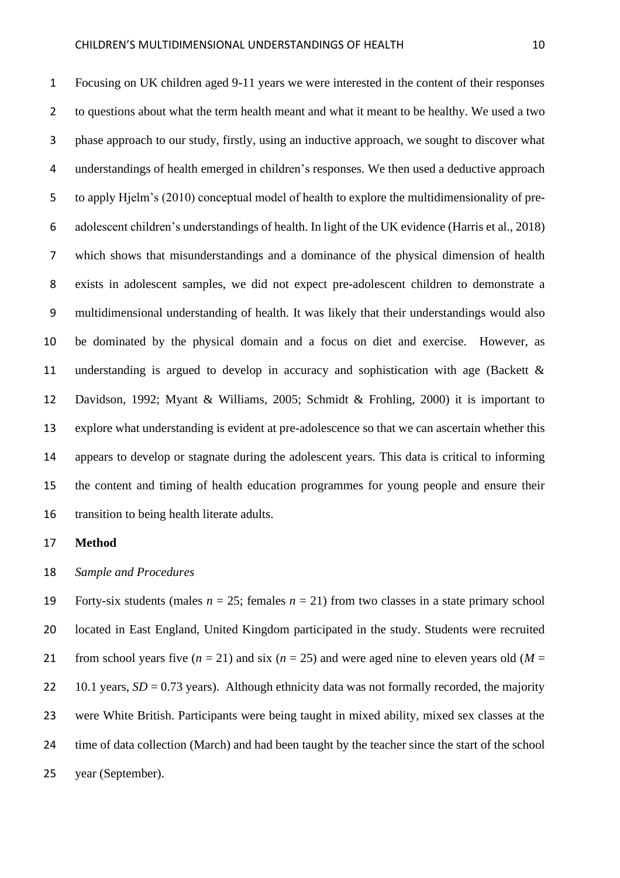Focusing on UK children aged 9-11 years we were interested in the content of their responses to questions about what the term health meant and what it meant to be healthy. We used a two phase approach to our study, firstly, using an inductive approach, we sought to discover what understandings of health emerged in children's responses. We then used a deductive approach to apply Hjelm's (2010) conceptual model of health to explore the multidimensionality of pre- adolescent children's understandings of health. In light of the UK evidence (Harris et al., 2018) which shows that misunderstandings and a dominance of the physical dimension of health exists in adolescent samples, we did not expect pre-adolescent children to demonstrate a multidimensional understanding of health. It was likely that their understandings would also be dominated by the physical domain and a focus on diet and exercise. However, as understanding is argued to develop in accuracy and sophistication with age (Backett & Davidson, 1992; Myant & Williams, 2005; Schmidt & Frohling, 2000) it is important to explore what understanding is evident at pre-adolescence so that we can ascertain whether this appears to develop or stagnate during the adolescent years. This data is critical to informing the content and timing of health education programmes for young people and ensure their transition to being health literate adults.

## **Method**

#### *Sample and Procedures*

19 Forty-six students (males  $n = 25$ ; females  $n = 21$ ) from two classes in a state primary school located in East England, United Kingdom participated in the study. Students were recruited 21 from school years five  $(n = 21)$  and six  $(n = 25)$  and were aged nine to eleven years old  $(M =$ 22 10.1 years,  $SD = 0.73$  years). Although ethnicity data was not formally recorded, the majority were White British. Participants were being taught in mixed ability, mixed sex classes at the 24 time of data collection (March) and had been taught by the teacher since the start of the school year (September).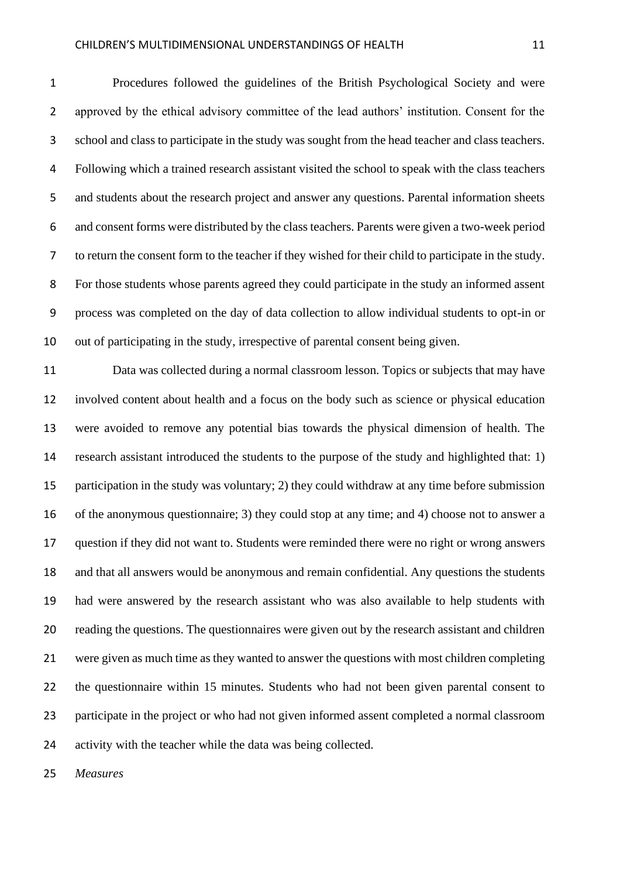Procedures followed the guidelines of the British Psychological Society and were approved by the ethical advisory committee of the lead authors' institution. Consent for the school and class to participate in the study was sought from the head teacher and class teachers. Following which a trained research assistant visited the school to speak with the class teachers and students about the research project and answer any questions. Parental information sheets and consent forms were distributed by the class teachers. Parents were given a two-week period to return the consent form to the teacher if they wished for their child to participate in the study. For those students whose parents agreed they could participate in the study an informed assent process was completed on the day of data collection to allow individual students to opt-in or out of participating in the study, irrespective of parental consent being given.

 Data was collected during a normal classroom lesson. Topics or subjects that may have involved content about health and a focus on the body such as science or physical education were avoided to remove any potential bias towards the physical dimension of health. The research assistant introduced the students to the purpose of the study and highlighted that: 1) participation in the study was voluntary; 2) they could withdraw at any time before submission of the anonymous questionnaire; 3) they could stop at any time; and 4) choose not to answer a question if they did not want to. Students were reminded there were no right or wrong answers and that all answers would be anonymous and remain confidential. Any questions the students had were answered by the research assistant who was also available to help students with reading the questions. The questionnaires were given out by the research assistant and children were given as much time as they wanted to answer the questions with most children completing the questionnaire within 15 minutes. Students who had not been given parental consent to participate in the project or who had not given informed assent completed a normal classroom activity with the teacher while the data was being collected.

*Measures*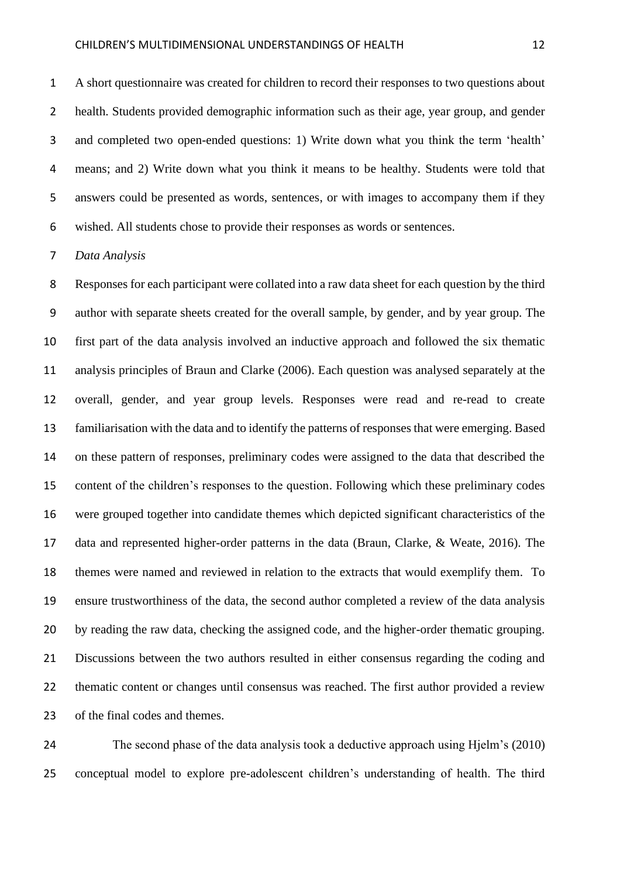A short questionnaire was created for children to record their responses to two questions about health. Students provided demographic information such as their age, year group, and gender and completed two open-ended questions: 1) Write down what you think the term 'health' means; and 2) Write down what you think it means to be healthy. Students were told that answers could be presented as words, sentences, or with images to accompany them if they wished. All students chose to provide their responses as words or sentences.

#### *Data Analysis*

 Responses for each participant were collated into a raw data sheet for each question by the third author with separate sheets created for the overall sample, by gender, and by year group. The first part of the data analysis involved an inductive approach and followed the six thematic analysis principles of Braun and Clarke (2006). Each question was analysed separately at the overall, gender, and year group levels. Responses were read and re-read to create familiarisation with the data and to identify the patterns of responses that were emerging. Based on these pattern of responses, preliminary codes were assigned to the data that described the content of the children's responses to the question. Following which these preliminary codes were grouped together into candidate themes which depicted significant characteristics of the data and represented higher-order patterns in the data (Braun, Clarke, & Weate, 2016). The themes were named and reviewed in relation to the extracts that would exemplify them. To ensure trustworthiness of the data, the second author completed a review of the data analysis by reading the raw data, checking the assigned code, and the higher-order thematic grouping. Discussions between the two authors resulted in either consensus regarding the coding and thematic content or changes until consensus was reached. The first author provided a review of the final codes and themes.

 The second phase of the data analysis took a deductive approach using Hjelm's (2010) conceptual model to explore pre-adolescent children's understanding of health. The third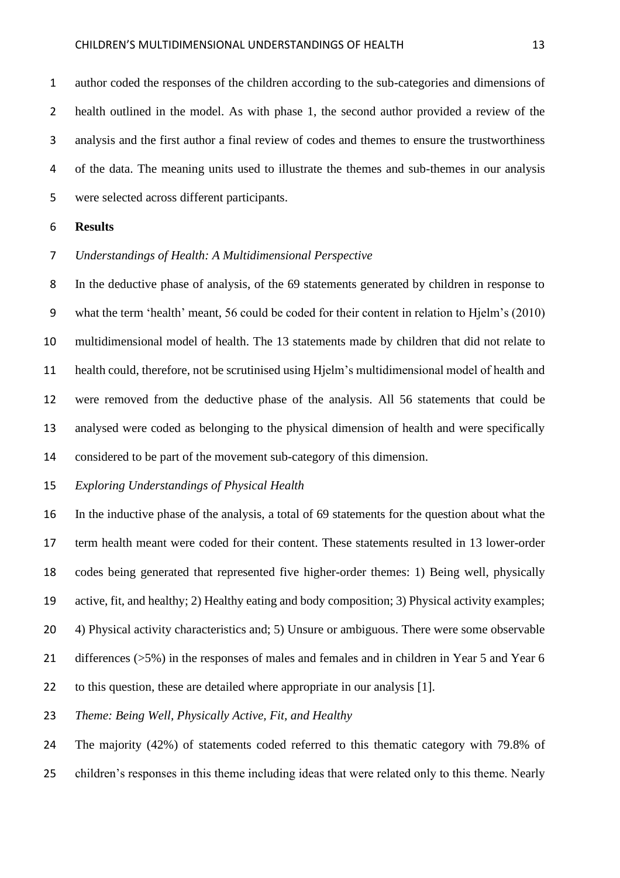author coded the responses of the children according to the sub-categories and dimensions of health outlined in the model. As with phase 1, the second author provided a review of the analysis and the first author a final review of codes and themes to ensure the trustworthiness of the data. The meaning units used to illustrate the themes and sub-themes in our analysis were selected across different participants.

### **Results**

#### *Understandings of Health: A Multidimensional Perspective*

 In the deductive phase of analysis, of the 69 statements generated by children in response to what the term 'health' meant, 56 could be coded for their content in relation to Hjelm's (2010) multidimensional model of health. The 13 statements made by children that did not relate to health could, therefore, not be scrutinised using Hjelm's multidimensional model of health and were removed from the deductive phase of the analysis. All 56 statements that could be analysed were coded as belonging to the physical dimension of health and were specifically considered to be part of the movement sub-category of this dimension.

#### *Exploring Understandings of Physical Health*

 In the inductive phase of the analysis, a total of 69 statements for the question about what the term health meant were coded for their content. These statements resulted in 13 lower-order codes being generated that represented five higher-order themes: 1) Being well, physically active, fit, and healthy; 2) Healthy eating and body composition; 3) Physical activity examples; 4) Physical activity characteristics and; 5) Unsure or ambiguous. There were some observable differences (>5%) in the responses of males and females and in children in Year 5 and Year 6 to this question, these are detailed where appropriate in our analysis [1].

*Theme: Being Well, Physically Active, Fit, and Healthy*

The majority (42%) of statements coded referred to this thematic category with 79.8% of

children's responses in this theme including ideas that were related only to this theme. Nearly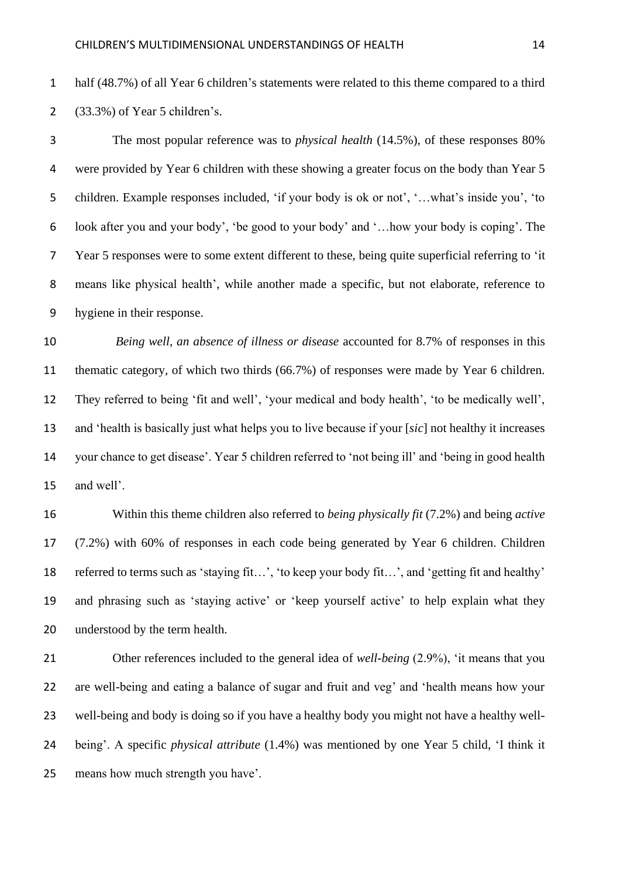half (48.7%) of all Year 6 children's statements were related to this theme compared to a third (33.3%) of Year 5 children's.

 The most popular reference was to *physical health* (14.5%), of these responses 80% were provided by Year 6 children with these showing a greater focus on the body than Year 5 children. Example responses included, 'if your body is ok or not', '…what's inside you', 'to look after you and your body', 'be good to your body' and '…how your body is coping'. The Year 5 responses were to some extent different to these, being quite superficial referring to 'it means like physical health', while another made a specific, but not elaborate, reference to hygiene in their response.

 *Being well, an absence of illness or disease* accounted for 8.7% of responses in this thematic category, of which two thirds (66.7%) of responses were made by Year 6 children. They referred to being 'fit and well', 'your medical and body health', 'to be medically well', and 'health is basically just what helps you to live because if your [*sic*] not healthy it increases your chance to get disease'. Year 5 children referred to 'not being ill' and 'being in good health and well'.

 Within this theme children also referred to *being physically fit* (7.2%) and being *active* (7.2%) with 60% of responses in each code being generated by Year 6 children. Children referred to terms such as 'staying fit…', 'to keep your body fit…', and 'getting fit and healthy' and phrasing such as 'staying active' or 'keep yourself active' to help explain what they understood by the term health.

 Other references included to the general idea of *well-being* (2.9%), 'it means that you are well-being and eating a balance of sugar and fruit and veg' and 'health means how your well-being and body is doing so if you have a healthy body you might not have a healthy well- being'. A specific *physical attribute* (1.4%) was mentioned by one Year 5 child, 'I think it means how much strength you have'.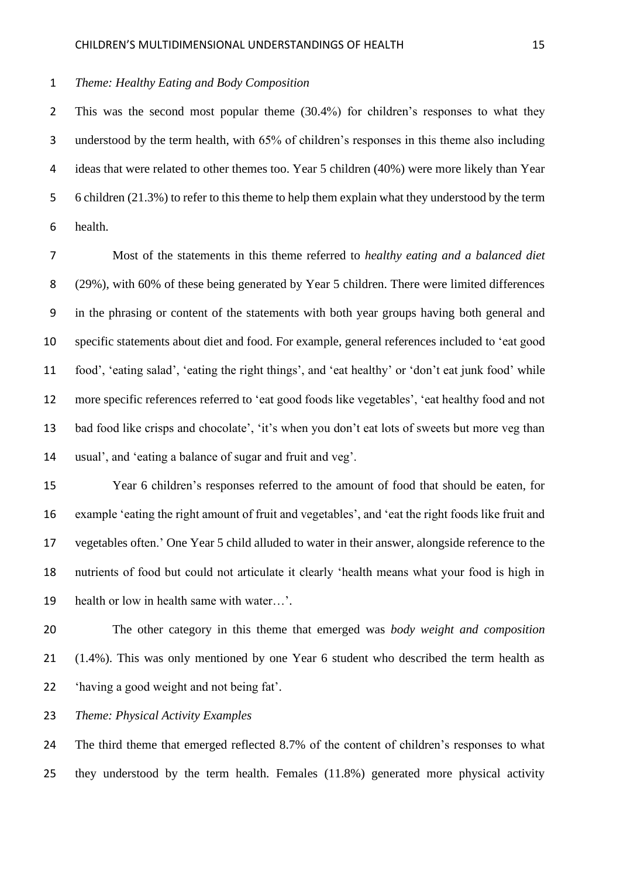#### *Theme: Healthy Eating and Body Composition*

 This was the second most popular theme (30.4%) for children's responses to what they understood by the term health, with 65% of children's responses in this theme also including ideas that were related to other themes too. Year 5 children (40%) were more likely than Year 6 children (21.3%) to refer to this theme to help them explain what they understood by the term health.

 Most of the statements in this theme referred to *healthy eating and a balanced diet* (29%), with 60% of these being generated by Year 5 children. There were limited differences in the phrasing or content of the statements with both year groups having both general and specific statements about diet and food. For example, general references included to 'eat good food', 'eating salad', 'eating the right things', and 'eat healthy' or 'don't eat junk food' while more specific references referred to 'eat good foods like vegetables', 'eat healthy food and not bad food like crisps and chocolate', 'it's when you don't eat lots of sweets but more veg than usual', and 'eating a balance of sugar and fruit and veg'.

 Year 6 children's responses referred to the amount of food that should be eaten, for example 'eating the right amount of fruit and vegetables', and 'eat the right foods like fruit and vegetables often.' One Year 5 child alluded to water in their answer, alongside reference to the nutrients of food but could not articulate it clearly 'health means what your food is high in health or low in health same with water…'.

 The other category in this theme that emerged was *body weight and composition* (1.4%). This was only mentioned by one Year 6 student who described the term health as 'having a good weight and not being fat'.

*Theme: Physical Activity Examples*

 The third theme that emerged reflected 8.7% of the content of children's responses to what they understood by the term health. Females (11.8%) generated more physical activity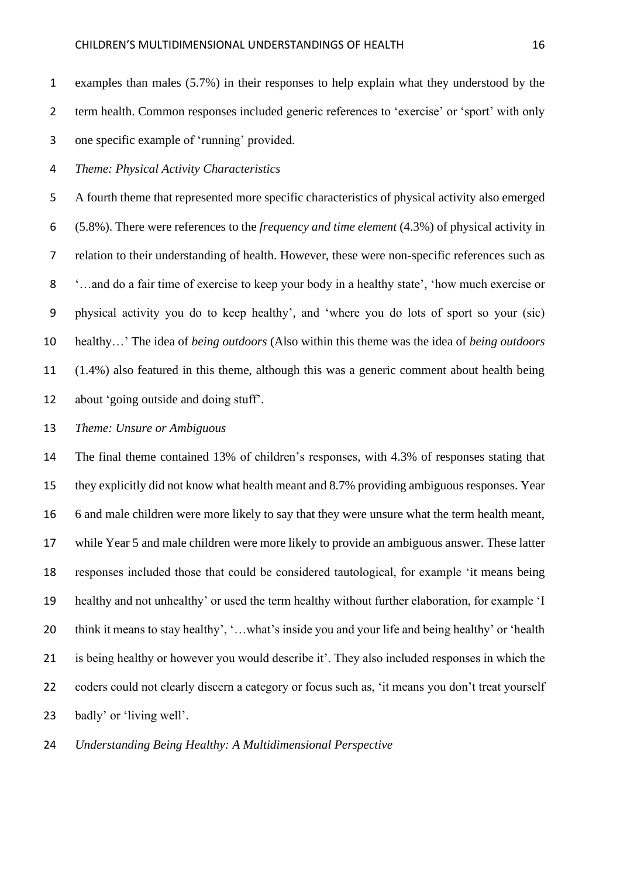examples than males (5.7%) in their responses to help explain what they understood by the term health. Common responses included generic references to 'exercise' or 'sport' with only one specific example of 'running' provided.

*Theme: Physical Activity Characteristics*

 A fourth theme that represented more specific characteristics of physical activity also emerged (5.8%). There were references to the *frequency and time element* (4.3%) of physical activity in relation to their understanding of health. However, these were non-specific references such as '…and do a fair time of exercise to keep your body in a healthy state', 'how much exercise or physical activity you do to keep healthy', and 'where you do lots of sport so your (sic) healthy…' The idea of *being outdoors* (Also within this theme was the idea of *being outdoors*  (1.4%) also featured in this theme, although this was a generic comment about health being about 'going outside and doing stuff'.

*Theme: Unsure or Ambiguous*

 The final theme contained 13% of children's responses, with 4.3% of responses stating that they explicitly did not know what health meant and 8.7% providing ambiguous responses. Year 6 and male children were more likely to say that they were unsure what the term health meant, while Year 5 and male children were more likely to provide an ambiguous answer. These latter responses included those that could be considered tautological, for example 'it means being healthy and not unhealthy' or used the term healthy without further elaboration, for example 'I think it means to stay healthy', '…what's inside you and your life and being healthy' or 'health is being healthy or however you would describe it'. They also included responses in which the 22 coders could not clearly discern a category or focus such as, 'it means you don't treat yourself badly' or 'living well'.

*Understanding Being Healthy: A Multidimensional Perspective*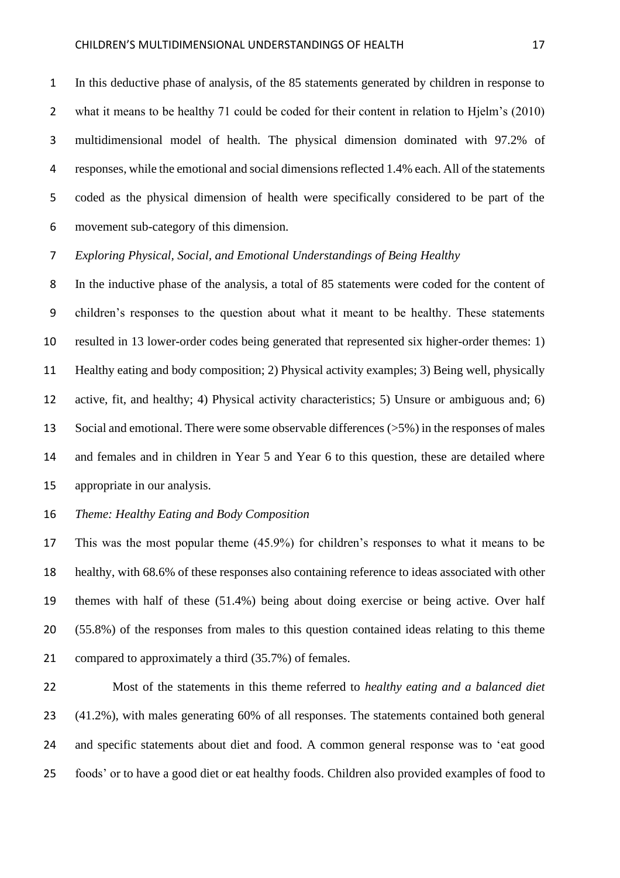In this deductive phase of analysis, of the 85 statements generated by children in response to what it means to be healthy 71 could be coded for their content in relation to Hjelm's (2010) multidimensional model of health. The physical dimension dominated with 97.2% of responses, while the emotional and social dimensions reflected 1.4% each. All of the statements coded as the physical dimension of health were specifically considered to be part of the movement sub-category of this dimension.

*Exploring Physical, Social, and Emotional Understandings of Being Healthy*

 In the inductive phase of the analysis, a total of 85 statements were coded for the content of children's responses to the question about what it meant to be healthy. These statements resulted in 13 lower-order codes being generated that represented six higher-order themes: 1) Healthy eating and body composition; 2) Physical activity examples; 3) Being well, physically active, fit, and healthy; 4) Physical activity characteristics; 5) Unsure or ambiguous and; 6) Social and emotional. There were some observable differences (>5%) in the responses of males and females and in children in Year 5 and Year 6 to this question, these are detailed where appropriate in our analysis.

#### *Theme: Healthy Eating and Body Composition*

 This was the most popular theme (45.9%) for children's responses to what it means to be healthy, with 68.6% of these responses also containing reference to ideas associated with other themes with half of these (51.4%) being about doing exercise or being active. Over half (55.8%) of the responses from males to this question contained ideas relating to this theme 21 compared to approximately a third (35.7%) of females.

 Most of the statements in this theme referred to *healthy eating and a balanced diet* (41.2%), with males generating 60% of all responses. The statements contained both general and specific statements about diet and food. A common general response was to 'eat good foods' or to have a good diet or eat healthy foods. Children also provided examples of food to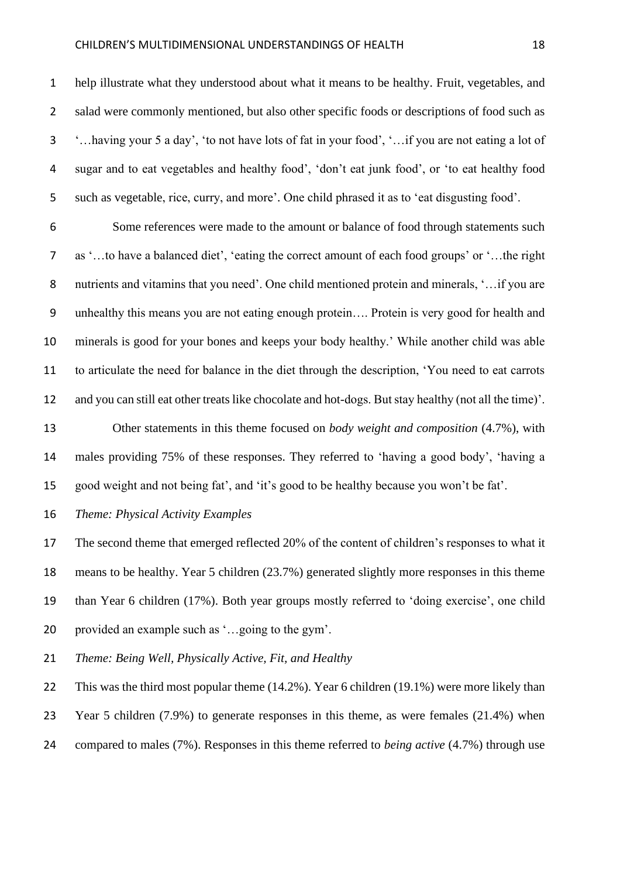#### CHILDREN'S MULTIDIMENSIONAL UNDERSTANDINGS OF HEALTH 18

 help illustrate what they understood about what it means to be healthy. Fruit, vegetables, and 2 salad were commonly mentioned, but also other specific foods or descriptions of food such as '…having your 5 a day', 'to not have lots of fat in your food', '…if you are not eating a lot of sugar and to eat vegetables and healthy food', 'don't eat junk food', or 'to eat healthy food such as vegetable, rice, curry, and more'. One child phrased it as to 'eat disgusting food'.

 Some references were made to the amount or balance of food through statements such as '…to have a balanced diet', 'eating the correct amount of each food groups' or '…the right 8 nutrients and vitamins that you need'. One child mentioned protein and minerals, '...if you are unhealthy this means you are not eating enough protein…. Protein is very good for health and minerals is good for your bones and keeps your body healthy.' While another child was able to articulate the need for balance in the diet through the description, 'You need to eat carrots and you can still eat other treats like chocolate and hot-dogs. But stay healthy (not all the time)'.

 Other statements in this theme focused on *body weight and composition* (4.7%), with males providing 75% of these responses. They referred to 'having a good body', 'having a good weight and not being fat', and 'it's good to be healthy because you won't be fat'.

*Theme: Physical Activity Examples*

 The second theme that emerged reflected 20% of the content of children's responses to what it means to be healthy. Year 5 children (23.7%) generated slightly more responses in this theme than Year 6 children (17%). Both year groups mostly referred to 'doing exercise', one child provided an example such as '…going to the gym'.

*Theme: Being Well, Physically Active, Fit, and Healthy*

 This was the third most popular theme (14.2%). Year 6 children (19.1%) were more likely than Year 5 children (7.9%) to generate responses in this theme, as were females (21.4%) when compared to males (7%). Responses in this theme referred to *being active* (4.7%) through use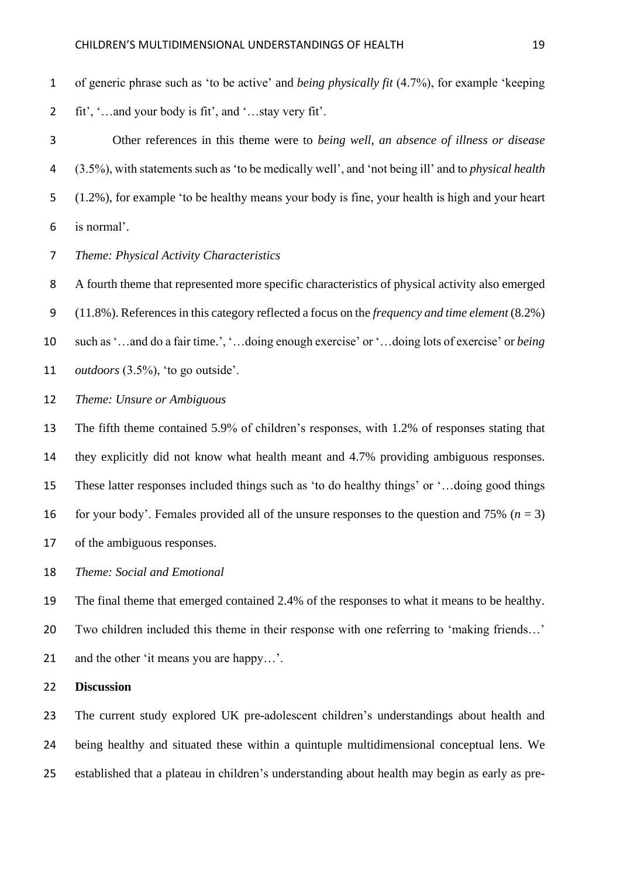- of generic phrase such as 'to be active' and *being physically fit* (4.7%), for example 'keeping fit', '…and your body is fit', and '…stay very fit'.
- Other references in this theme were to *being well, an absence of illness or disease* (3.5%), with statements such as 'to be medically well', and 'not being ill' and to *physical health* (1.2%), for example 'to be healthy means your body is fine, your health is high and your heart is normal'.
- *Theme: Physical Activity Characteristics*

 A fourth theme that represented more specific characteristics of physical activity also emerged (11.8%). References in this category reflected a focus on the *frequency and time element* (8.2%) such as '…and do a fair time.', '…doing enough exercise' or '…doing lots of exercise' or *being outdoors* (3.5%), 'to go outside'.

*Theme: Unsure or Ambiguous*

 The fifth theme contained 5.9% of children's responses, with 1.2% of responses stating that they explicitly did not know what health meant and 4.7% providing ambiguous responses. These latter responses included things such as 'to do healthy things' or '…doing good things 16 for your body'. Females provided all of the unsure responses to the question and 75%  $(n = 3)$ of the ambiguous responses.

- *Theme: Social and Emotional*
- The final theme that emerged contained 2.4% of the responses to what it means to be healthy.
- Two children included this theme in their response with one referring to 'making friends…'
- and the other 'it means you are happy…'.
- **Discussion**

 The current study explored UK pre-adolescent children's understandings about health and being healthy and situated these within a quintuple multidimensional conceptual lens. We established that a plateau in children's understanding about health may begin as early as pre-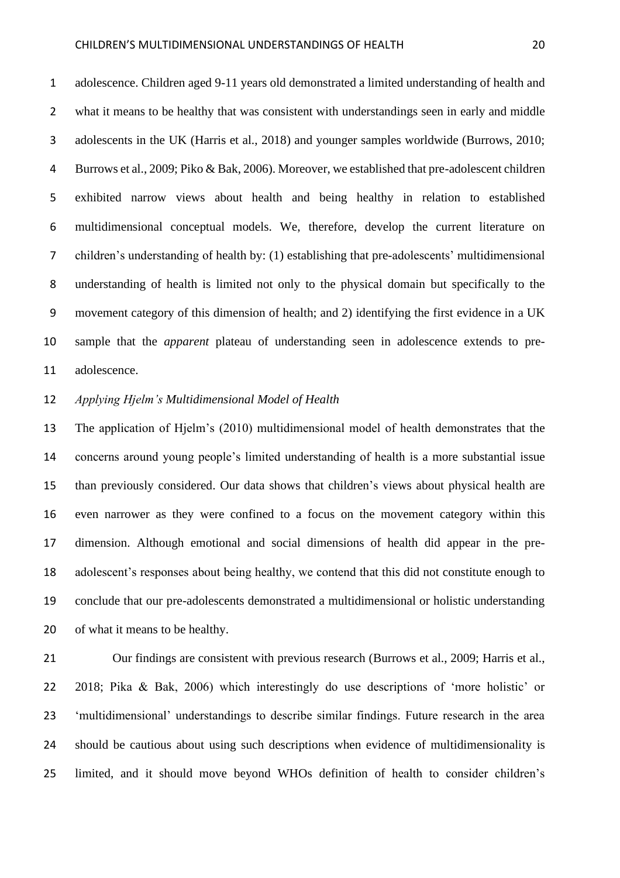adolescence. Children aged 9-11 years old demonstrated a limited understanding of health and what it means to be healthy that was consistent with understandings seen in early and middle adolescents in the UK (Harris et al., 2018) and younger samples worldwide (Burrows, 2010; Burrows et al., 2009; Piko & Bak, 2006). Moreover, we established that pre-adolescent children exhibited narrow views about health and being healthy in relation to established multidimensional conceptual models. We, therefore, develop the current literature on children's understanding of health by: (1) establishing that pre-adolescents' multidimensional understanding of health is limited not only to the physical domain but specifically to the movement category of this dimension of health; and 2) identifying the first evidence in a UK sample that the *apparent* plateau of understanding seen in adolescence extends to pre-adolescence.

## *Applying Hjelm's Multidimensional Model of Health*

 The application of Hjelm's (2010) multidimensional model of health demonstrates that the concerns around young people's limited understanding of health is a more substantial issue than previously considered. Our data shows that children's views about physical health are even narrower as they were confined to a focus on the movement category within this dimension. Although emotional and social dimensions of health did appear in the pre- adolescent's responses about being healthy, we contend that this did not constitute enough to conclude that our pre-adolescents demonstrated a multidimensional or holistic understanding of what it means to be healthy.

 Our findings are consistent with previous research (Burrows et al., 2009; Harris et al., 2018; Pika & Bak, 2006) which interestingly do use descriptions of 'more holistic' or 'multidimensional' understandings to describe similar findings. Future research in the area should be cautious about using such descriptions when evidence of multidimensionality is limited, and it should move beyond WHOs definition of health to consider children's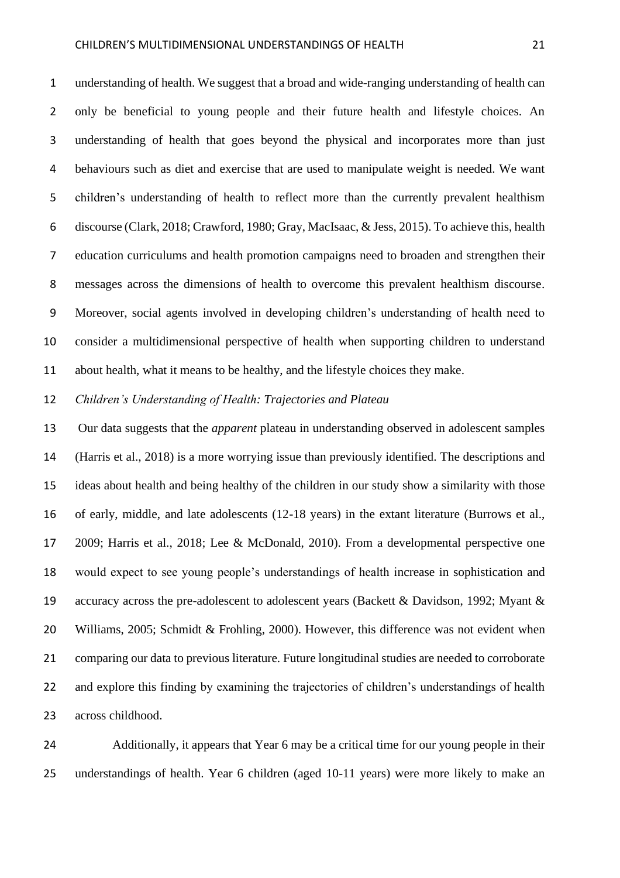#### CHILDREN'S MULTIDIMENSIONAL UNDERSTANDINGS OF HEALTH 21

 understanding of health. We suggest that a broad and wide-ranging understanding of health can only be beneficial to young people and their future health and lifestyle choices. An understanding of health that goes beyond the physical and incorporates more than just behaviours such as diet and exercise that are used to manipulate weight is needed. We want children's understanding of health to reflect more than the currently prevalent healthism discourse (Clark, 2018; Crawford, 1980; Gray, MacIsaac, & Jess, 2015). To achieve this, health education curriculums and health promotion campaigns need to broaden and strengthen their messages across the dimensions of health to overcome this prevalent healthism discourse. Moreover, social agents involved in developing children's understanding of health need to consider a multidimensional perspective of health when supporting children to understand about health, what it means to be healthy, and the lifestyle choices they make.

*Children's Understanding of Health: Trajectories and Plateau*

 Our data suggests that the *apparent* plateau in understanding observed in adolescent samples (Harris et al., 2018) is a more worrying issue than previously identified. The descriptions and ideas about health and being healthy of the children in our study show a similarity with those of early, middle, and late adolescents (12-18 years) in the extant literature (Burrows et al., 2009; Harris et al., 2018; Lee & McDonald, 2010). From a developmental perspective one would expect to see young people's understandings of health increase in sophistication and accuracy across the pre-adolescent to adolescent years (Backett & Davidson, 1992; Myant & Williams, 2005; Schmidt & Frohling, 2000). However, this difference was not evident when comparing our data to previous literature. Future longitudinal studies are needed to corroborate and explore this finding by examining the trajectories of children's understandings of health across childhood.

 Additionally, it appears that Year 6 may be a critical time for our young people in their understandings of health. Year 6 children (aged 10-11 years) were more likely to make an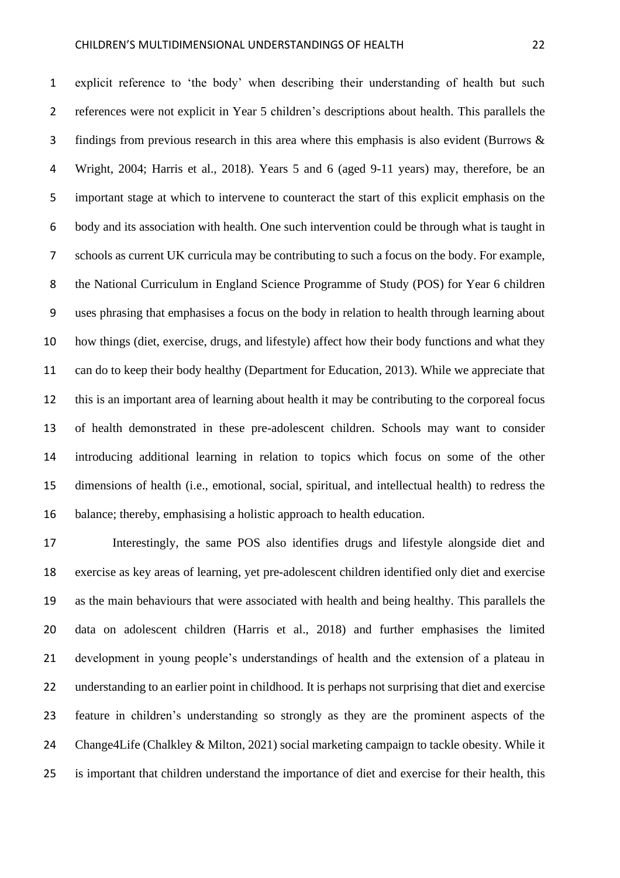explicit reference to 'the body' when describing their understanding of health but such references were not explicit in Year 5 children's descriptions about health. This parallels the findings from previous research in this area where this emphasis is also evident (Burrows & Wright, 2004; Harris et al., 2018). Years 5 and 6 (aged 9-11 years) may, therefore, be an important stage at which to intervene to counteract the start of this explicit emphasis on the body and its association with health. One such intervention could be through what is taught in schools as current UK curricula may be contributing to such a focus on the body. For example, the National Curriculum in England Science Programme of Study (POS) for Year 6 children uses phrasing that emphasises a focus on the body in relation to health through learning about how things (diet, exercise, drugs, and lifestyle) affect how their body functions and what they can do to keep their body healthy (Department for Education, 2013). While we appreciate that this is an important area of learning about health it may be contributing to the corporeal focus of health demonstrated in these pre-adolescent children. Schools may want to consider introducing additional learning in relation to topics which focus on some of the other dimensions of health (i.e., emotional, social, spiritual, and intellectual health) to redress the balance; thereby, emphasising a holistic approach to health education.

 Interestingly, the same POS also identifies drugs and lifestyle alongside diet and exercise as key areas of learning, yet pre-adolescent children identified only diet and exercise as the main behaviours that were associated with health and being healthy. This parallels the data on adolescent children (Harris et al., 2018) and further emphasises the limited development in young people's understandings of health and the extension of a plateau in understanding to an earlier point in childhood. It is perhaps not surprising that diet and exercise feature in children's understanding so strongly as they are the prominent aspects of the Change4Life (Chalkley & Milton, 2021) social marketing campaign to tackle obesity. While it is important that children understand the importance of diet and exercise for their health, this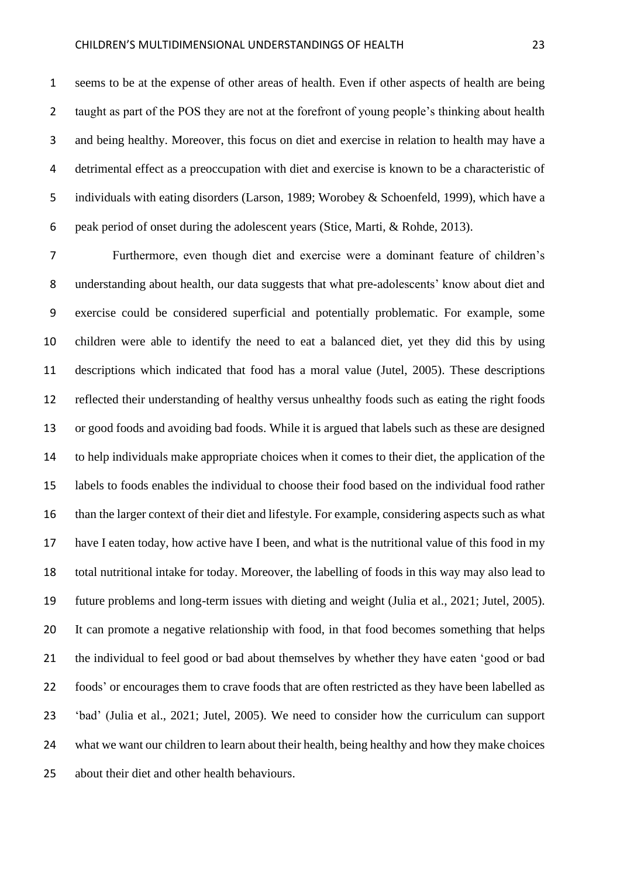seems to be at the expense of other areas of health. Even if other aspects of health are being taught as part of the POS they are not at the forefront of young people's thinking about health and being healthy. Moreover, this focus on diet and exercise in relation to health may have a detrimental effect as a preoccupation with diet and exercise is known to be a characteristic of individuals with eating disorders (Larson, 1989; Worobey & Schoenfeld, 1999), which have a peak period of onset during the adolescent years (Stice, Marti, & Rohde, 2013).

 Furthermore, even though diet and exercise were a dominant feature of children's understanding about health, our data suggests that what pre-adolescents' know about diet and exercise could be considered superficial and potentially problematic. For example, some children were able to identify the need to eat a balanced diet, yet they did this by using descriptions which indicated that food has a moral value (Jutel, 2005). These descriptions reflected their understanding of healthy versus unhealthy foods such as eating the right foods or good foods and avoiding bad foods. While it is argued that labels such as these are designed to help individuals make appropriate choices when it comes to their diet, the application of the labels to foods enables the individual to choose their food based on the individual food rather than the larger context of their diet and lifestyle. For example, considering aspects such as what have I eaten today, how active have I been, and what is the nutritional value of this food in my total nutritional intake for today. Moreover, the labelling of foods in this way may also lead to future problems and long-term issues with dieting and weight (Julia et al., 2021; Jutel, 2005). It can promote a negative relationship with food, in that food becomes something that helps the individual to feel good or bad about themselves by whether they have eaten 'good or bad foods' or encourages them to crave foods that are often restricted as they have been labelled as 'bad' (Julia et al., 2021; Jutel, 2005). We need to consider how the curriculum can support what we want our children to learn about their health, being healthy and how they make choices about their diet and other health behaviours.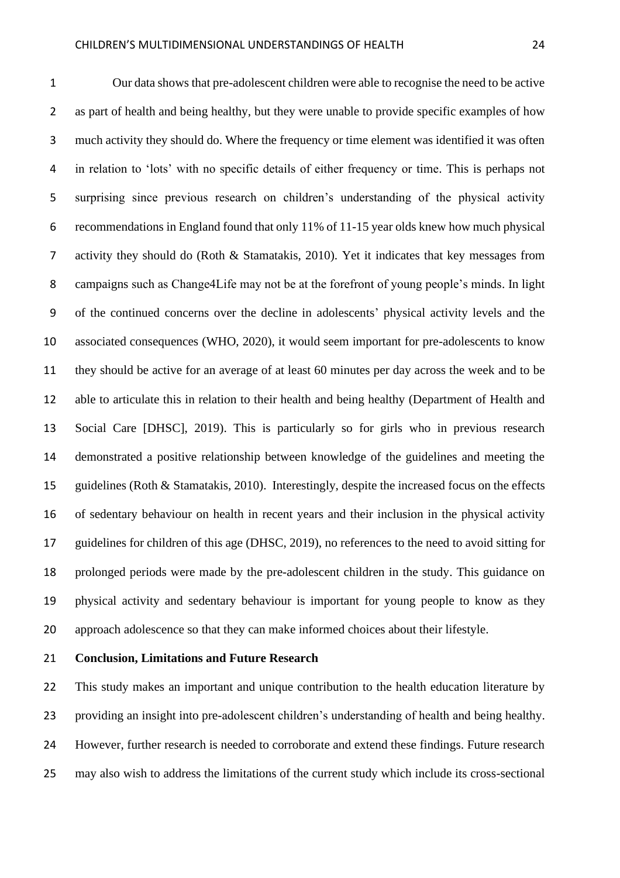Our data shows that pre-adolescent children were able to recognise the need to be active 2 as part of health and being healthy, but they were unable to provide specific examples of how much activity they should do. Where the frequency or time element was identified it was often in relation to 'lots' with no specific details of either frequency or time. This is perhaps not surprising since previous research on children's understanding of the physical activity recommendations in England found that only 11% of 11-15 year olds knew how much physical activity they should do (Roth & Stamatakis, 2010). Yet it indicates that key messages from campaigns such as Change4Life may not be at the forefront of young people's minds. In light of the continued concerns over the decline in adolescents' physical activity levels and the associated consequences (WHO, 2020), it would seem important for pre-adolescents to know they should be active for an average of at least 60 minutes per day across the week and to be able to articulate this in relation to their health and being healthy (Department of Health and Social Care [DHSC], 2019). This is particularly so for girls who in previous research demonstrated a positive relationship between knowledge of the guidelines and meeting the guidelines (Roth & Stamatakis, 2010). Interestingly, despite the increased focus on the effects of sedentary behaviour on health in recent years and their inclusion in the physical activity guidelines for children of this age (DHSC, 2019), no references to the need to avoid sitting for prolonged periods were made by the pre-adolescent children in the study. This guidance on physical activity and sedentary behaviour is important for young people to know as they approach adolescence so that they can make informed choices about their lifestyle.

#### **Conclusion, Limitations and Future Research**

 This study makes an important and unique contribution to the health education literature by providing an insight into pre-adolescent children's understanding of health and being healthy. However, further research is needed to corroborate and extend these findings. Future research may also wish to address the limitations of the current study which include its cross-sectional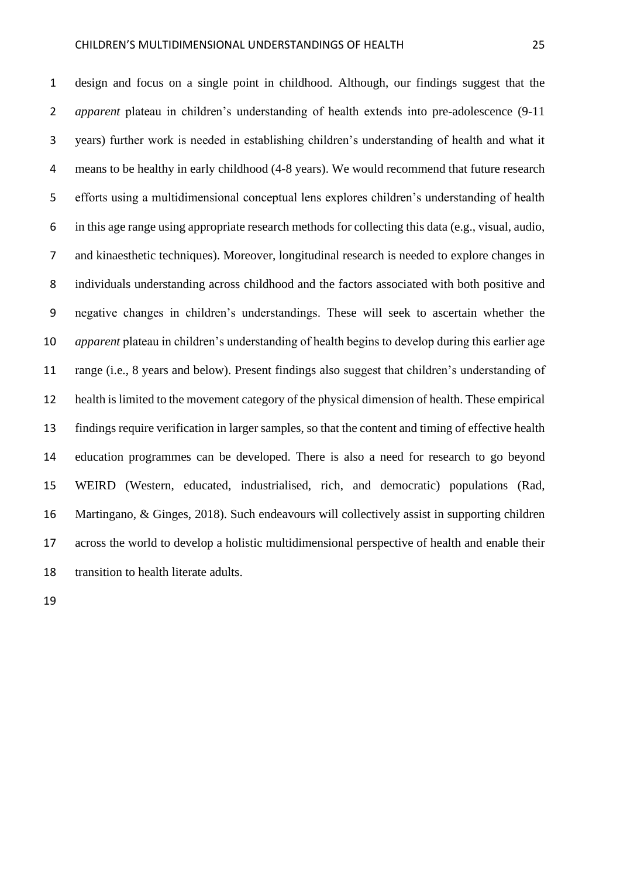design and focus on a single point in childhood. Although, our findings suggest that the *apparent* plateau in children's understanding of health extends into pre-adolescence (9-11 years) further work is needed in establishing children's understanding of health and what it means to be healthy in early childhood (4-8 years). We would recommend that future research efforts using a multidimensional conceptual lens explores children's understanding of health in this age range using appropriate research methods for collecting this data (e.g., visual, audio, and kinaesthetic techniques). Moreover, longitudinal research is needed to explore changes in individuals understanding across childhood and the factors associated with both positive and negative changes in children's understandings. These will seek to ascertain whether the *apparent* plateau in children's understanding of health begins to develop during this earlier age range (i.e., 8 years and below). Present findings also suggest that children's understanding of health is limited to the movement category of the physical dimension of health. These empirical findings require verification in larger samples, so that the content and timing of effective health education programmes can be developed. There is also a need for research to go beyond WEIRD (Western, educated, industrialised, rich, and democratic) populations (Rad, Martingano, & Ginges, 2018). Such endeavours will collectively assist in supporting children across the world to develop a holistic multidimensional perspective of health and enable their transition to health literate adults.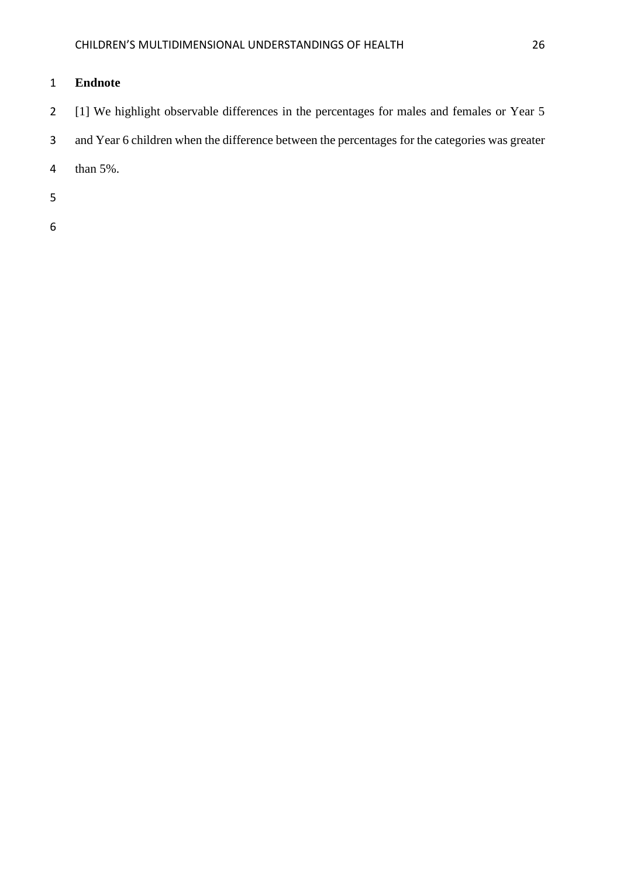## **Endnote**

- [1] We highlight observable differences in the percentages for males and females or Year 5
- and Year 6 children when the difference between the percentages for the categories was greater
- than 5%.
- 
-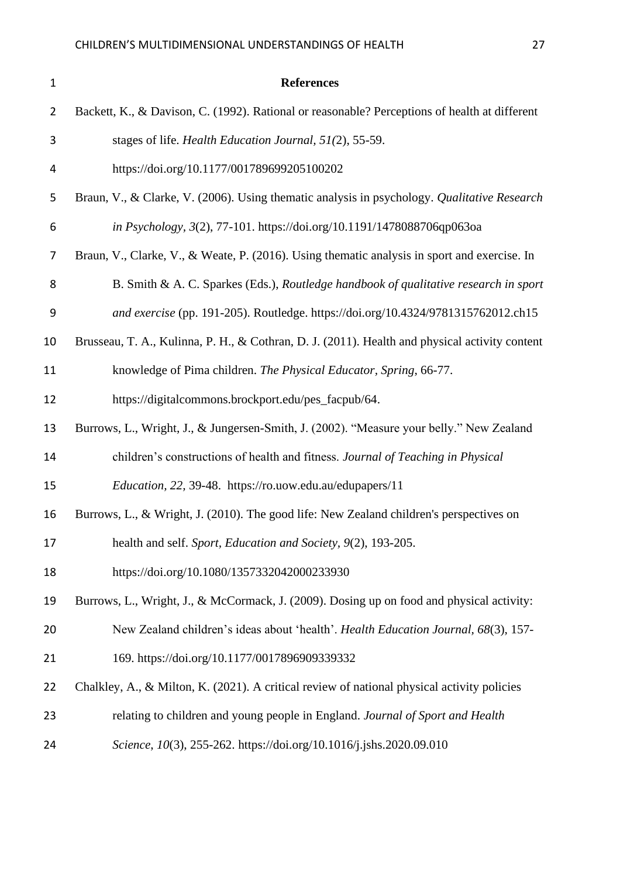| $\mathbf{1}$   | <b>References</b>                                                                              |
|----------------|------------------------------------------------------------------------------------------------|
| $\overline{2}$ | Backett, K., & Davison, C. (1992). Rational or reasonable? Perceptions of health at different  |
| 3              | stages of life. Health Education Journal, 51(2), 55-59.                                        |
| 4              | https://doi.org/10.1177/001789699205100202                                                     |
| 5              | Braun, V., & Clarke, V. (2006). Using thematic analysis in psychology. Qualitative Research    |
| 6              | in Psychology, 3(2), 77-101. https://doi.org/10.1191/1478088706qp063oa                         |
| 7              | Braun, V., Clarke, V., & Weate, P. (2016). Using the matic analysis in sport and exercise. In  |
| 8              | B. Smith & A. C. Sparkes (Eds.), Routledge handbook of qualitative research in sport           |
| 9              | and exercise (pp. 191-205). Routledge. https://doi.org/10.4324/9781315762012.ch15              |
| 10             | Brusseau, T. A., Kulinna, P. H., & Cothran, D. J. (2011). Health and physical activity content |
| 11             | knowledge of Pima children. The Physical Educator, Spring, 66-77.                              |
| 12             | https://digitalcommons.brockport.edu/pes_facpub/64.                                            |
| 13             | Burrows, L., Wright, J., & Jungersen-Smith, J. (2002). "Measure your belly." New Zealand       |
| 14             | children's constructions of health and fitness. Journal of Teaching in Physical                |
| 15             | Education, 22, 39-48. https://ro.uow.edu.au/edupapers/11                                       |
| 16             | Burrows, L., & Wright, J. (2010). The good life: New Zealand children's perspectives on        |
| 17             | health and self. Sport, Education and Society, 9(2), 193-205.                                  |
| 18             | https://doi.org/10.1080/1357332042000233930                                                    |
| 19             | Burrows, L., Wright, J., & McCormack, J. (2009). Dosing up on food and physical activity:      |
| 20             | New Zealand children's ideas about 'health'. Health Education Journal, 68(3), 157-             |
| 21             | 169. https://doi.org/10.1177/0017896909339332                                                  |
| 22             | Chalkley, A., & Milton, K. (2021). A critical review of national physical activity policies    |
| 23             | relating to children and young people in England. Journal of Sport and Health                  |
| 24             | Science, 10(3), 255-262. https://doi.org/10.1016/j.jshs.2020.09.010                            |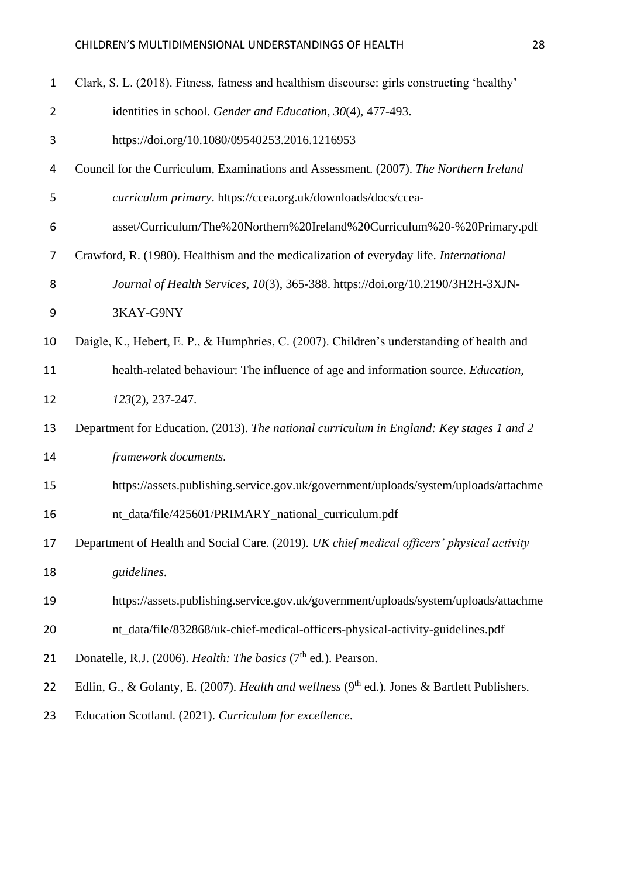| $\mathbf{1}$   | Clark, S. L. (2018). Fitness, fatness and healthism discourse: girls constructing 'healthy'  |
|----------------|----------------------------------------------------------------------------------------------|
| $\overline{2}$ | identities in school. Gender and Education, 30(4), 477-493.                                  |
| 3              | https://doi.org/10.1080/09540253.2016.1216953                                                |
| 4              | Council for the Curriculum, Examinations and Assessment. (2007). The Northern Ireland        |
| 5              | curriculum primary. https://ccea.org.uk/downloads/docs/ccea-                                 |
| 6              | asset/Curriculum/The%20Northern%20Ireland%20Curriculum%20-%20Primary.pdf                     |
| 7              | Crawford, R. (1980). Healthism and the medicalization of everyday life. International        |
| 8              | Journal of Health Services, 10(3), 365-388. https://doi.org/10.2190/3H2H-3XJN-               |
| 9              | 3KAY-G9NY                                                                                    |
| 10             | Daigle, K., Hebert, E. P., & Humphries, C. (2007). Children's understanding of health and    |
| 11             | health-related behaviour: The influence of age and information source. Education,            |
| 12             | 123(2), 237-247.                                                                             |
| 13             | Department for Education. (2013). The national curriculum in England: Key stages 1 and 2     |
| 14             | framework documents.                                                                         |
| 15             | https://assets.publishing.service.gov.uk/government/uploads/system/uploads/attachme          |
| 16             | nt_data/file/425601/PRIMARY_national_curriculum.pdf                                          |
| 17             | Department of Health and Social Care. (2019). UK chief medical officers' physical activity   |
| 18             | guidelines.                                                                                  |
| 19             | https://assets.publishing.service.gov.uk/government/uploads/system/uploads/attachme          |
| 20             | nt_data/file/832868/uk-chief-medical-officers-physical-activity-guidelines.pdf               |
| 21             | Donatelle, R.J. (2006). Health: The basics (7 <sup>th</sup> ed.). Pearson.                   |
| 22             | Edlin, G., & Golanty, E. (2007). Health and wellness (9th ed.). Jones & Bartlett Publishers. |
| 23             | Education Scotland. (2021). Curriculum for excellence.                                       |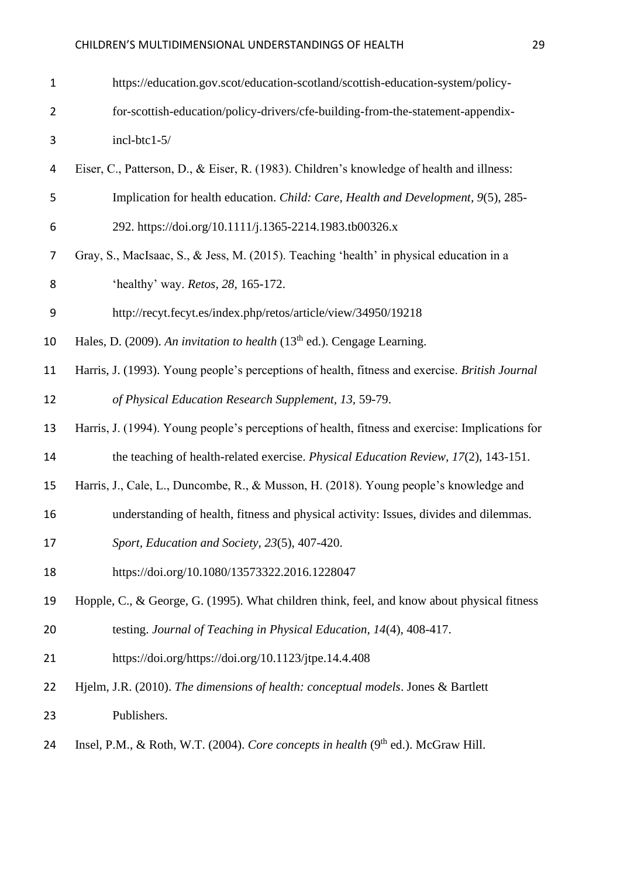## CHILDREN'S MULTIDIMENSIONAL UNDERSTANDINGS OF HEALTH 29

| $\mathbf{1}$   | https://education.gov.scot/education-scotland/scottish-education-system/policy-                 |
|----------------|-------------------------------------------------------------------------------------------------|
| $\overline{2}$ | for-scottish-education/policy-drivers/cfe-building-from-the-statement-appendix-                 |
| 3              | incl-btc1-5/                                                                                    |
| 4              | Eiser, C., Patterson, D., & Eiser, R. (1983). Children's knowledge of health and illness:       |
| 5              | Implication for health education. Child: Care, Health and Development, 9(5), 285-               |
| 6              | 292. https://doi.org/10.1111/j.1365-2214.1983.tb00326.x                                         |
| 7              | Gray, S., MacIsaac, S., & Jess, M. (2015). Teaching 'health' in physical education in a         |
| 8              | 'healthy' way. Retos, 28, 165-172.                                                              |
| 9              | http://recyt.fecyt.es/index.php/retos/article/view/34950/19218                                  |
| 10             | Hales, D. (2009). An invitation to health $(13th$ ed.). Cengage Learning.                       |
| 11             | Harris, J. (1993). Young people's perceptions of health, fitness and exercise. British Journal  |
| 12             | of Physical Education Research Supplement, 13, 59-79.                                           |
| 13             | Harris, J. (1994). Young people's perceptions of health, fitness and exercise: Implications for |
| 14             | the teaching of health-related exercise. Physical Education Review, 17(2), 143-151.             |
| 15             | Harris, J., Cale, L., Duncombe, R., & Musson, H. (2018). Young people's knowledge and           |
| 16             | understanding of health, fitness and physical activity: Issues, divides and dilemmas.           |
| 17             | Sport, Education and Society, 23(5), 407-420.                                                   |
| 18             | https://doi.org/10.1080/13573322.2016.1228047                                                   |
| 19             | Hopple, C., & George, G. (1995). What children think, feel, and know about physical fitness     |
| 20             | testing. Journal of Teaching in Physical Education, 14(4), 408-417.                             |
| 21             | https://doi.org/https://doi.org/10.1123/jtpe.14.4.408                                           |
| 22             | Hjelm, J.R. (2010). The dimensions of health: conceptual models. Jones & Bartlett               |
| 23             | Publishers.                                                                                     |
| 24             | Insel, P.M., & Roth, W.T. (2004). Core concepts in health $(9th$ ed.). McGraw Hill.             |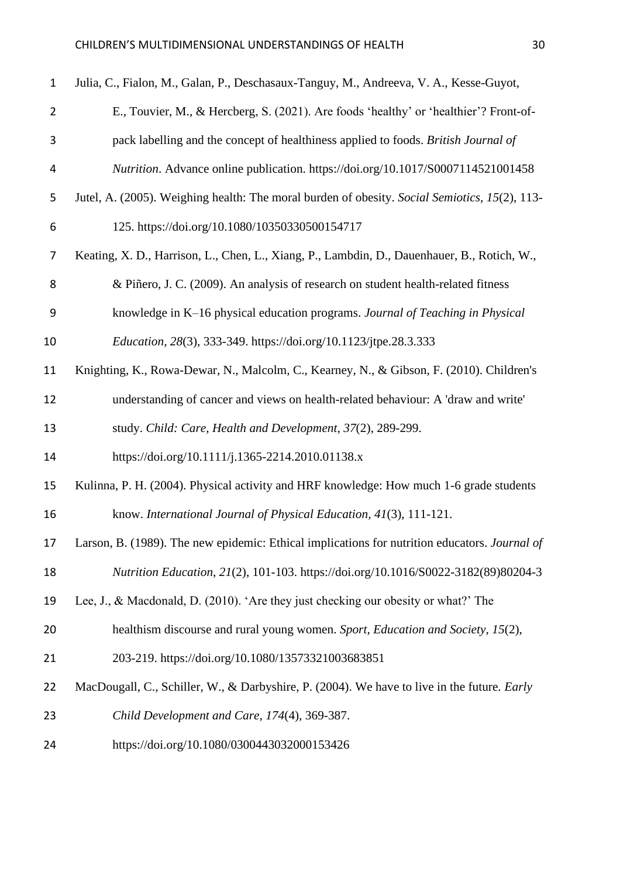| $\mathbf{1}$    | Julia, C., Fialon, M., Galan, P., Deschasaux-Tanguy, M., Andreeva, V. A., Kesse-Guyot,             |
|-----------------|----------------------------------------------------------------------------------------------------|
| $\overline{2}$  | E., Touvier, M., & Hercberg, S. (2021). Are foods 'healthy' or 'healthier'? Front-of-              |
| 3               | pack labelling and the concept of healthiness applied to foods. British Journal of                 |
| 4               | Nutrition. Advance online publication. https://doi.org/10.1017/S0007114521001458                   |
| 5               | Jutel, A. (2005). Weighing health: The moral burden of obesity. Social Semiotics, 15(2), 113-      |
| 6               | 125. https://doi.org/10.1080/10350330500154717                                                     |
| 7               | Keating, X. D., Harrison, L., Chen, L., Xiang, P., Lambdin, D., Dauenhauer, B., Rotich, W.,        |
| 8               | & Piñero, J. C. (2009). An analysis of research on student health-related fitness                  |
| 9               | knowledge in K-16 physical education programs. Journal of Teaching in Physical                     |
| 10              | Education, 28(3), 333-349. https://doi.org/10.1123/jtpe.28.3.333                                   |
| 11              | Knighting, K., Rowa-Dewar, N., Malcolm, C., Kearney, N., & Gibson, F. (2010). Children's           |
| 12              | understanding of cancer and views on health-related behaviour: A 'draw and write'                  |
| 13              | study. Child: Care, Health and Development, 37(2), 289-299.                                        |
| 14              | https://doi.org/10.1111/j.1365-2214.2010.01138.x                                                   |
| 15              | Kulinna, P. H. (2004). Physical activity and HRF knowledge: How much 1-6 grade students            |
| 16              | know. International Journal of Physical Education, 41(3), 111-121.                                 |
| 17 <sub>1</sub> | Larson, B. (1989). The new epidemic: Ethical implications for nutrition educators. Journal of      |
| 18              | Nutrition Education, 21(2), 101-103. https://doi.org/10.1016/S0022-3182(89)80204-3                 |
| 19              | Lee, J., & Macdonald, D. (2010). 'Are they just checking our obesity or what?' The                 |
| 20              | healthism discourse and rural young women. Sport, Education and Society, 15(2),                    |
| 21              | 203-219. https://doi.org/10.1080/13573321003683851                                                 |
| 22              | MacDougall, C., Schiller, W., & Darbyshire, P. (2004). We have to live in the future. <i>Early</i> |
| 23              | Child Development and Care, 174(4), 369-387.                                                       |
| 24              | https://doi.org/10.1080/0300443032000153426                                                        |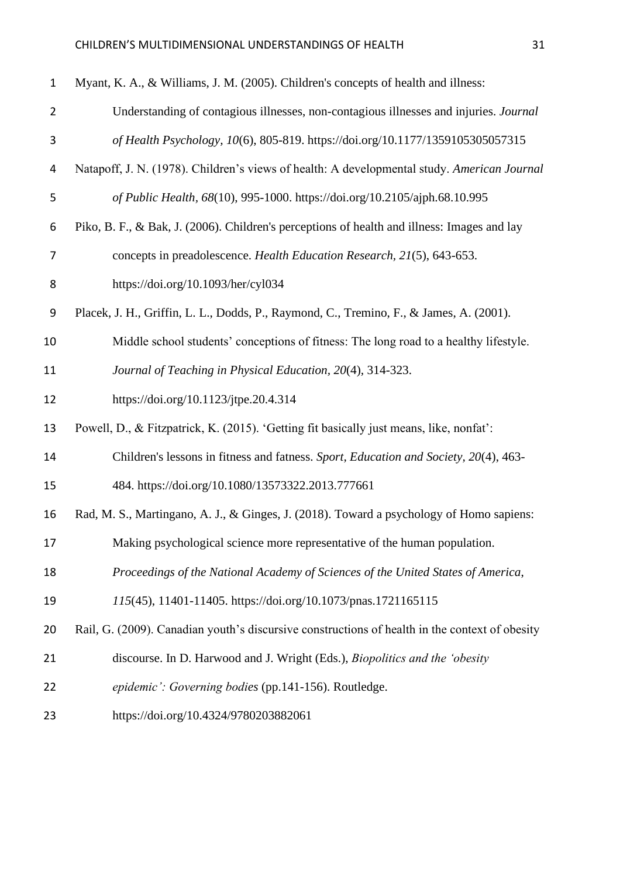| $\mathbf{1}$   | Myant, K. A., & Williams, J. M. (2005). Children's concepts of health and illness:             |
|----------------|------------------------------------------------------------------------------------------------|
| $\overline{2}$ | Understanding of contagious illnesses, non-contagious illnesses and injuries. Journal          |
| 3              | of Health Psychology, 10(6), 805-819. https://doi.org/10.1177/1359105305057315                 |
| 4              | Natapoff, J. N. (1978). Children's views of health: A developmental study. American Journal    |
| 5              | of Public Health, 68(10), 995-1000. https://doi.org/10.2105/ajph.68.10.995                     |
| 6              | Piko, B. F., & Bak, J. (2006). Children's perceptions of health and illness: Images and lay    |
| 7              | concepts in preadolescence. Health Education Research, 21(5), 643-653.                         |
| 8              | https://doi.org/10.1093/her/cyl034                                                             |
| 9              | Placek, J. H., Griffin, L. L., Dodds, P., Raymond, C., Tremino, F., & James, A. (2001).        |
| 10             | Middle school students' conceptions of fitness: The long road to a healthy lifestyle.          |
| 11             | Journal of Teaching in Physical Education, 20(4), 314-323.                                     |
| 12             | https://doi.org/10.1123/jtpe.20.4.314                                                          |
| 13             | Powell, D., & Fitzpatrick, K. (2015). 'Getting fit basically just means, like, nonfat':        |
| 14             | Children's lessons in fitness and fatness. Sport, Education and Society, 20(4), 463-           |
| 15             | 484. https://doi.org/10.1080/13573322.2013.777661                                              |
| 16             | Rad, M. S., Martingano, A. J., & Ginges, J. (2018). Toward a psychology of Homo sapiens:       |
| 17             | Making psychological science more representative of the human population.                      |
| 18             | Proceedings of the National Academy of Sciences of the United States of America,               |
| 19             | 115(45), 11401-11405. https://doi.org/10.1073/pnas.1721165115                                  |
| 20             | Rail, G. (2009). Canadian youth's discursive constructions of health in the context of obesity |
| 21             | discourse. In D. Harwood and J. Wright (Eds.), Biopolitics and the 'obesity                    |
| 22             | epidemic': Governing bodies (pp.141-156). Routledge.                                           |
| 23             | https://doi.org/10.4324/9780203882061                                                          |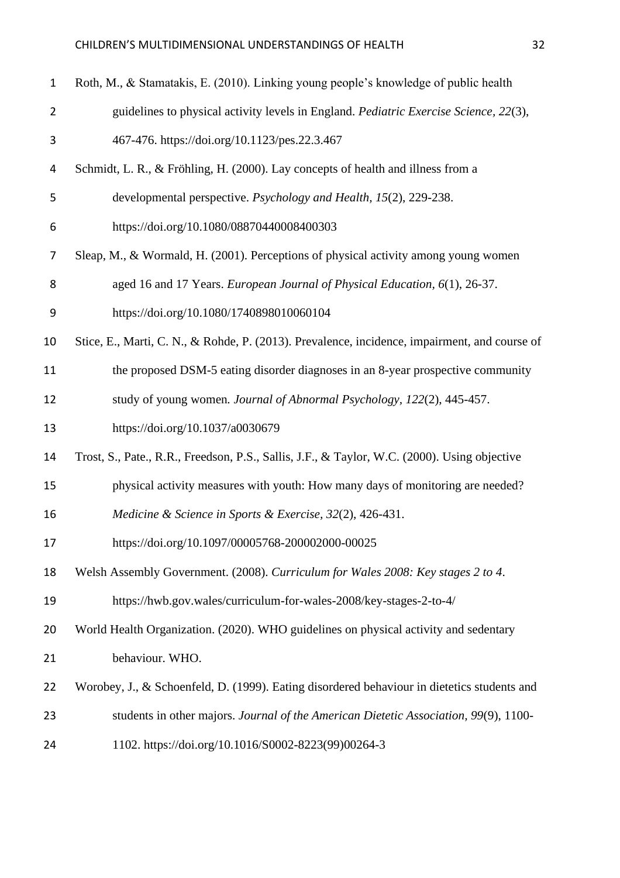| $\mathbf{1}$   | Roth, M., & Stamatakis, E. (2010). Linking young people's knowledge of public health          |
|----------------|-----------------------------------------------------------------------------------------------|
| $\overline{2}$ | guidelines to physical activity levels in England. Pediatric Exercise Science, 22(3),         |
| 3              | 467-476. https://doi.org/10.1123/pes.22.3.467                                                 |
| 4              | Schmidt, L. R., & Fröhling, H. (2000). Lay concepts of health and illness from a              |
| 5              | developmental perspective. Psychology and Health, 15(2), 229-238.                             |
| 6              | https://doi.org/10.1080/08870440008400303                                                     |
| 7              | Sleap, M., & Wormald, H. (2001). Perceptions of physical activity among young women           |
| 8              | aged 16 and 17 Years. European Journal of Physical Education, 6(1), 26-37.                    |
| 9              | https://doi.org/10.1080/1740898010060104                                                      |
| 10             | Stice, E., Marti, C. N., & Rohde, P. (2013). Prevalence, incidence, impairment, and course of |
| 11             | the proposed DSM-5 eating disorder diagnoses in an 8-year prospective community               |
| 12             | study of young women. Journal of Abnormal Psychology, 122(2), 445-457.                        |
| 13             | https://doi.org/10.1037/a0030679                                                              |
| 14             | Trost, S., Pate., R.R., Freedson, P.S., Sallis, J.F., & Taylor, W.C. (2000). Using objective  |
| 15             | physical activity measures with youth: How many days of monitoring are needed?                |
| 16             | Medicine & Science in Sports & Exercise, 32(2), 426-431.                                      |
| 17             | https://doi.org/10.1097/00005768-200002000-00025                                              |
| 18             | Welsh Assembly Government. (2008). Curriculum for Wales 2008: Key stages 2 to 4.              |
| 19             | https://hwb.gov.wales/curriculum-for-wales-2008/key-stages-2-to-4/                            |
| 20             | World Health Organization. (2020). WHO guidelines on physical activity and sedentary          |
| 21             | behaviour. WHO.                                                                               |
| 22             | Worobey, J., & Schoenfeld, D. (1999). Eating disordered behaviour in dietetics students and   |
| 23             | students in other majors. Journal of the American Dietetic Association, 99(9), 1100-          |
| 24             | 1102. https://doi.org/10.1016/S0002-8223(99)00264-3                                           |
|                |                                                                                               |